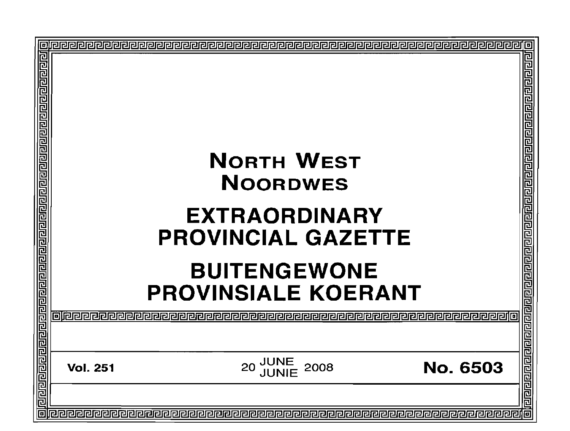| 回<br><u>बायबाग्वराय राय नगणनायाचा बाबाव बायबागवान बाबावा बाबा बाबावान बाबावानुबा</u> | <b>NORTH WEST</b><br><b>NOORDWES</b><br><b>EXTRAORDINARY</b><br><b>PROVINCIAL GAZETTE</b><br><b>BUITENGEWONE</b><br><b>PROVINSIALE KOERANT</b><br>oleeeeeeeeeee | о<br>己  |
|--------------------------------------------------------------------------------------|-----------------------------------------------------------------------------------------------------------------------------------------------------------------|---------|
|                                                                                      |                                                                                                                                                                 | 립리      |
|                                                                                      | <b>JUNE<br/>JUNIE</b><br>2008<br><b>No. 6503</b><br>20<br><b>Vol. 251</b>                                                                                       | 민리리티티리리 |
|                                                                                      |                                                                                                                                                                 | 加       |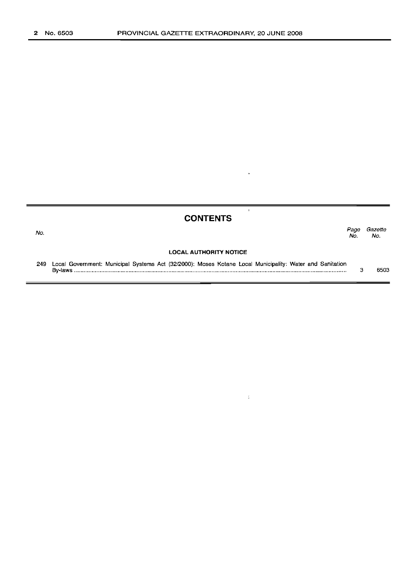No.

# **CONTENTS**

 $\ddot{\phantom{1}}$ 

 $\bar{\mathbf{r}}$ 

 $\frac{\epsilon}{\epsilon}$ 

*Page Gazette* No. No.

#### **LOCAL AUTHORITY NOTICE**

249 Local Government: Municipal Systems Act (32/2000): Moses Kotane Local Municipality: Water and Sanitation By-laws . 3 6503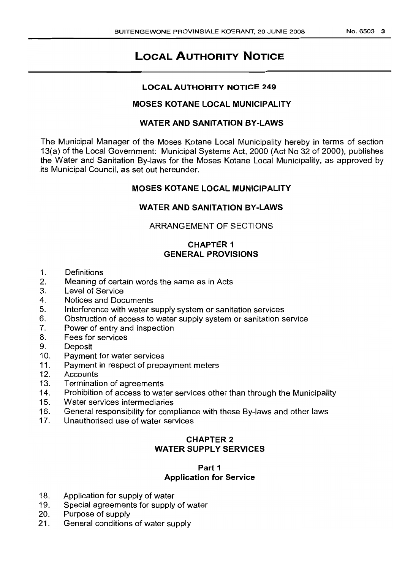# **LOCAL AUTHORITY NOTICE**

## **LOCAL AUTHORITY NOTICE 249**

# **MOSES KOTANE LOCAL MUNICIPALITY**

# **WATER AND SANITATION BY-LAWS**

The Municipal Manager of the Moses Kotane Local Municipality hereby in terms of section 13(a) of the Local Government: Municipal Systems Act, 2000 (Act No 32 of 2000), publishes the Water and Sanitation By-laws for the Moses Kotane Local Municipality, as approved by its Municipal Council, as set out hereunder.

# **MOSES KOTANE LOCAL MUNICIPALITY**

# **WATER AND SANITATION BY-LAWS**

# ARRANGEMENT OF SECTIONS

# **CHAPTER 1 GENERAL PROVISIONS**

- 1. Definitions
- 2. Meaning of certain words the same as in Acts
- 3. Level of Service
- 4. Notices and Documents
- 5. Interference with water supply system or sanitation services
- 6. Obstruction of access to water supply system or sanitation service
- 7. Power of entry and inspection
- 8. Fees for services
- 9. Deposit
- 10. Payment for water services
- 11. Payment in respect of prepayment meters
- 12. Accounts
- 13. Termination of agreements
- 14. Prohibition of access to water services other than through the Municipality
- 15. Water services intermediaries
- 16. General responsibility for compliance with these By-laws and other laws
- 17. Unauthorised use of water services

# **CHAPTER 2 WATER SUPPLY SERVICES**

# **Part 1 Application for Service**

- 18. Application for supply of water
- 19. Special agreements for supply of water
- 20. Purpose of supply
- 21. General conditions of water supply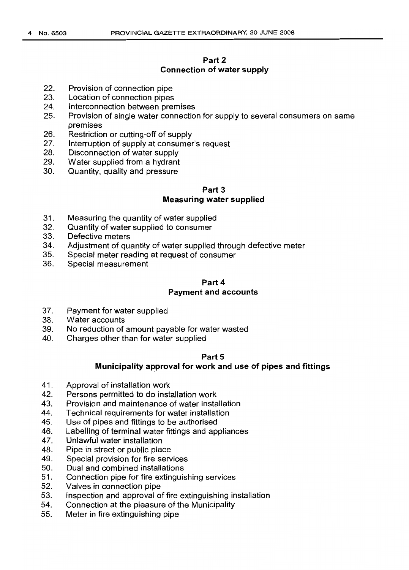# **Part 2 Connection of water supply**

- 22. Provision of connection pipe
- 23. Location of connection pipes
- 24. Interconnection between premises
- 25. Provision of single water connection for supply to several consumers on same premises
- 26. Restriction or cutting-off of supply<br>27. Interruption of supply at consumer
- Interruption of supply at consumer's request
- 28. Disconnection of water supply
- 29. Water supplied from a hydrant
- 30. Quantity, quality and pressure

# **Part** 3 **Measuring water supplied**

- 31. Measuring the quantity of water supplied
- 32. Quantity of water supplied to consumer
- 33. Defective meters
- 34. Adjustment of quantity of water supplied through defective meter
- 35. Special meter reading at request of consumer
- 36. Special measurement

# Part 4 **Payment and accounts**

- 37. Payment for water supplied
- 38. Water accounts
- 39. No reduction of amount payable for water wasted
- 40. Charges other than for water supplied

## Part<sub>5</sub>

## **Municipality approval for work and use of pipes and fittings**

- 41. Approval of installation work
- 42. Persons permitted to do installation work
- 43. Provision and maintenance of water installation
- 44. Technical requirements for water installation
- 45. Use of pipes and fittings to be authorised
- 46. Labelling of terminal water fittings and appliances<br>47. Unlawful water installation
- Unlawful water installation
- 48. Pipe in street or public place
- 49. Special provision for fire services
- 50. Dual and combined installations
- 51. Connection pipe for fire extinguishing services
- 52. Valves in connection pipe
- 53. Inspection and approval of fire extinguishing installation
- 54. Connection at the pleasure of the Municipality
- 55. Meter in fire extinguishing pipe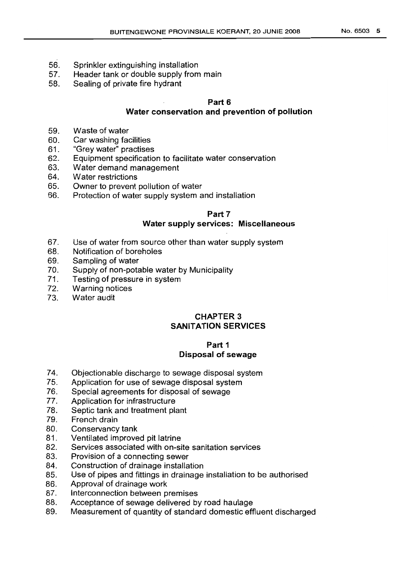- 56. Sprinkler extinguishing installation
- 57. Header tank or double supply from main
- 58. Sealing of private fire hydrant

# **Part 6**

# **Water conservation and prevention of pollution**

- 59. Waste of water
- 60. Car washing facilities
- 61. "Grey water" practises
- ·62. Equipment specification to facilitate water conservation
- 63. Water demand management
- 64. Water restrictions
- 65. Owner to prevent pollution of water
- 66. Protection of water supply system and installation

#### **Part** 7 **Water supply** services: **Miscellaneous**

- 67. Use of water from source other than water supply system
- 68. Notification of boreholes
- 69. Sampling of water
- 70. Supply of non-potable water by Municipality
- 71. Testing of pressure in system
- 72. Warning notices
- 73. Water audit

# **CHAPTER 3 SANITATION SERVICES**

# **Part 1 Disposal of sewage**

- 74. Objectionable discharge to sewage disposal system
- 75. Application for use of sewage disposal system
- 76. Special agreements for disposal of sewage
- 77. Application for infrastructure
- 78. Septic tank and treatment plant
- 79. French drain
- 80. Conservancy tank
- 81. Ventilated improved pit latrine
- 82. Services associated with on-site sanitation services
- 83. Provision of a connecting sewer<br>84. Construction of drainage installa
- Construction of drainage installation
- 85. Use of pipes and fittings in drainage installation to be authorised
- 86. Approval of drainage work
- 87. Interconnection between premises
- 88. Acceptance of sewage delivered by road haulage
- 89. Measurement of quantity of standard domestic effluent discharged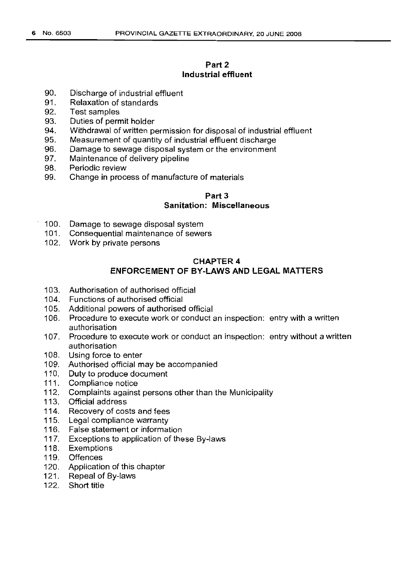# **Part 2 Industrial effluent**

- 90. Discharge of industrial effluent
- 91. Relaxation of standards
- 92. Test samples
- 93. Duties of permit holder
- 94. Withdrawal of written permission for disposal of industrial effluent
- 95. Measurement of quantity of industrial effluent discharge
- 96. Damage to sewage disposal system or the environment
- 97. Maintenance of delivery pipeline
- 98. Periodic review
- 99. Change in process of manufacture of materials

# **Part** 3

# **Sanitation: Miscellaneous**

- 100. Damage to sewage disposal system
- 101. Consequential maintenance of sewers
- 102. Work by private persons

# CHAPTER 4 **ENFORCEMENT OF BY-LAWS AND LEGAL MATTERS**

- 103. Authorisation of authorised official
- 104. Functions of authorised official
- 105. Additional powers of authorised official
- 106. Procedure to execute work or conduct an inspection: entry with a written authorisation
- 107. Procedure to execute work or conduct an inspection: entry without a written authorisation
- 108. Using force to enter
- 109. Authorised official may be accompanied
- 110. Duty to produce document
- 111. Compliance notice
- 112. Complaints against persons other than the Municipality
- 113. Official address
- 114. Recovery of costs and fees
- 115. Legal compliance warranty
- 116. False statement or information
- 117. Exceptions to application of these By-laws
- 118. Exemptions
- 119. Offences
- 120. Application of this chapter
- 121. Repeal of By-laws
- 122. Short title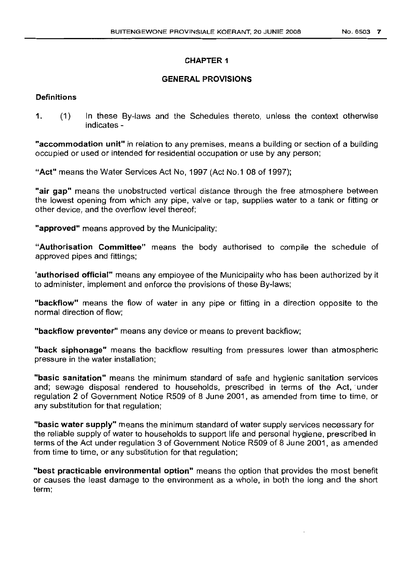# CHAPTER 1

## GENERAL PROVISIONS

## **Definitions**

1. (1) In these By-laws and the Schedules thereto, unless the context otherwise indicates -

"accommodation unit" in relation to any premises, means a building or section of a building occupied or used or intended for residential occupation or use by any person;

"Act" means the Water Services Act No, 1997 (Act No.1 08 of 1997);

"air gap" means the unobstructed vertical distance through the free atmosphere between the lowest opening from which any pipe, valve or tap, supplies water to a tank or fitting or other device, and the overflow level thereof;

"approved" means approved by the Municipality;

"Authorisation Committee" means the body authorised to compile the schedule of approved pipes and fittings;

'authorised official" means any employee of the Municipality who has been authorized by it to administer, implement and enforce the provisions of these By-laws;

"backflow" means the flow of water in any pipe or fitting in a direction opposite to the normal direction of flow;

"backflow preventer" means any device or means to prevent backflow;

"back siphonage" means the backflow resulting from pressures lower than atmospheric pressure in the water installation;

"basic sanitation" means the minimum standard of safe and hygienic sanitation services and; sewage disposal rendered to households, prescribed in terms of the Act,' under regulation 2 of Government Notice R509 of 8 June 2001, as amended from time to time, or any substitution for that regulation;

"basic water supply" means the minimum standard of water supply services necessary for the reliable supply of water to households to support life and personal hygiene, prescribed in terms of the Act under regulation 3 of Government Notice R509 of 8 June 2001, as amended from time to time, or any substitution for that regulation;

"best practicable environmental option" means the option that provides the most benefit or causes the least damage to the environment as a whole, in both the long and the short term;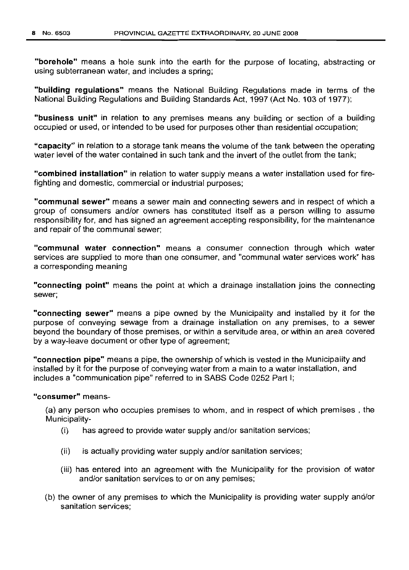**"borehole"** means a hole sunk into the earth for the purpose of locating, abstracting or using subterranean water, and includes a spring;

**"building regulations"** means the National Building Regulations made in terms of the National Building Regulations and Building Standards Act, 1997 (Act No. 103 of 1977);

**"business unit"** in relation to any premises means any building or section of a building occupied or used, or intended to be used for purposes other than residential occupation;

**"capacity"** in relation to a storage tank means the volume of the tank between the operating Water level of the water contained in such tank and the invert of the outlet from the tank;

**"combined installation"** in relation to water supply means a water installation used for firefighting and domestic, commercial or industrial purposes;

**"communal sewer"** means a sewer main and connecting sewers and in respect of which a group of consumers and/or owners has constituted itself as a person willing to assume responsibility for, and has signed an agreement accepting responsibility, for the maintenance and repair of the communal sewer;

**"communal water connection"** means a consumer connection through which water services are supplied to more than one consumer, and "communal water services work" has a corresponding meaning

**"connecting point"** means the point at which a drainage installation joins the connecting sewer;

**"connecting sewer"** means a pipe owned by the Municipality and installed by it for the purpose of conveying sewage from a drainage installation on any premises, to a sewer beyond the boundary of those premises, or within a servitude area, or within an area covered by a way-leave document or other type of agreement;

**"connection pipe"** means a pipe, the ownership of which is vested in the Municipality and installed by it for the purpose of conveying water from a main to a water installation, and includes a "communication pipe" referred to in SABS Code 0252 Part I;

#### **"consumer"** means-

(a) any person who occupies premises to whom, and in respect of which premises, the Municipality-

- (i) has agreed to provide water supply and/or sanitation services;
- (ii) is actually providing water supply and/or sanitation services;
- (iii) has entered into an agreement with the Municipality for the provision of water and/or sanitation services to or on any pemises;
- (b) the owner of any premises to which the Municipality is providing water supply and/or sanitation services;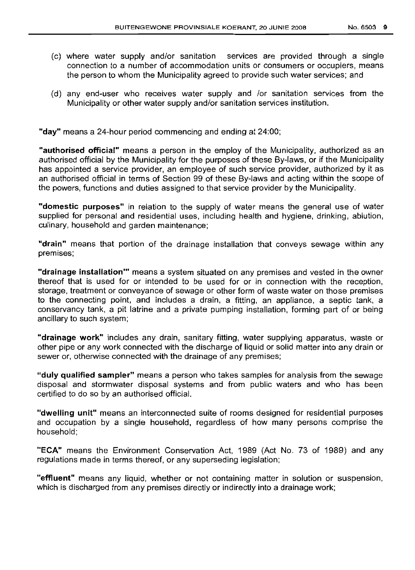- (c) where water supply and/or sanitation services are provided through a single connection to a number of accommodation units or consumers or occupiers, means the person to whom the Municipality agreed to provide such water services; and
- (d) any end-user who receives water supply and lor sanitation services from the Municipality or other water supply and/or sanitation services institution.

**"day"** means a 24-hour period commencing and ending at 24:00;

**"authorised official"** means a person in the employ of the Municipality, authorized as an authorised official by the Municipality for the purposes of these By-laws, or if the Municipality has appointed a service provider, an employee of such service provider, authorized by it as an authorised official in terms of Section 99 of these By-laws and acting within the scope of the powers, functions and duties assigned to that service provider by the Municipality.

**"domestic purposes"** in relation to the supply of water means the general use of water supplied for personal and residential uses, including health and hygiene, drinking, ablution, culinary, household and garden maintenance;

**"drain"** means that portion of the drainage installation that conveys sewage within any premises;

**"drainage installation'"** means a system situated on any premises and vested in the owner thereof that is used for or intended to be used for or in connection with the reception, storage, treatment or conveyance of sewage or other form of waste water on those premises to the connecting point, and includes a drain, a fitting, an appliance, a septic tank, a conservancy tank, a pit latrine and a private pumping installation, forming part of or being ancillary to such system;

**"drainage work"** includes any drain, sanitary fitting, water supplying apparatus, waste or other pipe or any work connected with the discharge of liquid or solid matter into any drain or sewer or, otherwise connected with the drainage of any premises;

**"duly qualified sampler"** means a person who takes samples for analysis from the sewage disposal and stormwater disposal systems and from public waters and who has been certified to do so by an authorised official.

**"dwelling unit"** means an interconnected suite of rooms designed for residential purposes and occupation by a single household, regardless of how many persons comprise the household;

**"ECA"** means the Environment Conservation Act, 1989 (Act No. 73 of 1989) and any regulations made in terms thereof, or any superseding legislation;

**"effluent"** means any liquid, whether or not containing matter in solution or suspension, which is discharged from any premises directly or indirectly into a drainage work;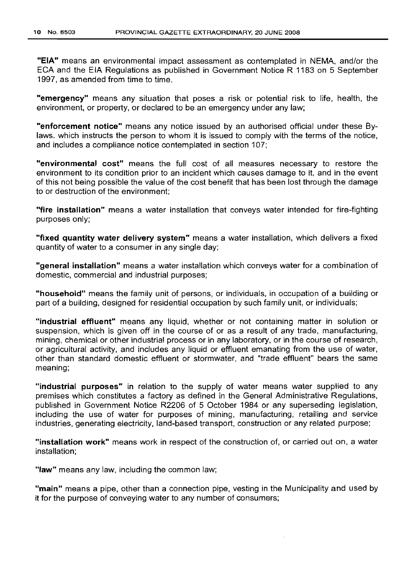"EIA" means an environmental impact assessment as contemplated in NEMA, and/or the ECA and the EIA Regulations as published in Government Notice R 1183 on 5 September 1997, as amended from time to time.

**"emergency"** means any situation that poses a risk or potential risk to life, health, the environment, or property, or declared to be an emergency under any law;

**"enforcement notice"** means any notice issued by an authorised official under these Bylaws. which instructs the person to whom it is issued to comply with the terms of the notice, and includes a compliance notice contemplated in section 107;

**"environmental cost"** means the full cost of all measures necessary to restore the environment to its condition prior to an incident which causes damage to it, and in the event of this not being possible the value of the cost benefit that has been lost through the damage to or destruction of the environment;

**"fire installation"** means a water installation that conveys water intended for fire-fighting purposes only;

**"fixed quantity water delivery system"** means a water installation, which delivers a fixed quantity of water to a consumer in any single day;

**"general installation"** means a water installation which conveys water for a combination of domestic, commercial and industrial purposes;

**"household"** means the family unit of persons, or individuals, in occupation of a building or part of a building, designed for residential occupation by such family unit, or individuals;

**"industrial effluent"** means any liquid, whether or not containing matter in solution or suspension, which is given off in the course of or as a result of any trade, manufacturing, mining, chemical or other industrial process or in any laboratory, or in the course of research, or agricultural activity, and includes any liquid or effluent emanating from the use of water, other than standard domestic effluent or stormwater, and "trade effluent" bears the same meaning;

**"industrial purposes"** in relation to the supply of water means water supplied to any premises which constitutes a factory as defined in the General Administrative Regulations, published in Government Notice R2206 of 5 October 1984 or any superseding legislation, including the use of water for purposes of mining, manufacturing, retailing and service industries, generating electricity, land-based transport, construction or any related purpose;

**"installation work"** means work in respect of the construction of, or carried out on, a water installation;

**"law"** means any law, including the common law;

**"main"** means a pipe, other than a connection pipe, vesting in the Municipality and used by it for the purpose of conveying water to any number of consumers;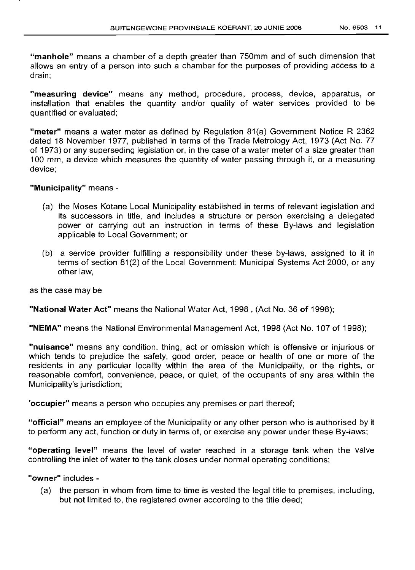**"manhole"** means a chamber of a depth greater than 750mm and of such dimension that allows an entry of a person into such a chamber for the purposes of providing access to a drain;

**"measuring device"** means any method, procedure, process, device, apparatus, or installation that enables the quantity and/or quality of water services provided to be quantified or evaluated;

**"meter"** means a water meter as defined by Regulation 81(a) Government Notice R 2362 dated 18 November 1977, published in terms of the Trade Metrology Act, 1973 (Act No. 77 of 1973) or any superseding legislation or, in the case of a water meter of a size greater than 100 mm, a device which measures the quantity of water passing through it, or a measuring device;

**"Municipality"** means -

- (a) the Moses Kotane Local Municipality established in terms of relevant legislation and its successors in title, and includes a structure or person exercising a delegated power or carrying out an instruction in terms of these By-laws and legislation applicable to Local Government; or
- (b) a service provider fulfilling a responsibility under these by-laws, assigned to it in terms of section 81(2) of the Local Government: Municipal Systems Act 2000, or any other law,

as the case may be

**"National Water Act"** means the National Water Act, 1998 , (Act No. 36 **of** 1998);

**"NEMA"** means the National Environmental Management Act, 1998 (Act No.1 07 of 1998);

**"nuisance"** means any condition, thing, act or omission which is offensive or injurious or which tends to prejudice the safety, good order, peace or health of one or more of the residents in any particular locality within the area of the Municipality, or the rights, or reasonable comfort, convenience, peace, or quiet, of the occupants of any area within the Municipality's jurisdiction;

**'occupier"** means a person who occupies any premises or part thereof;

**"official"** means an employee of the Municipality or any other person who is authorised by it to perform any act, function or duty in terms of, or exercise any power under these By-laws;

**"operating level"** means the level of water reached in a storage tank when the valve controlling the inlet of water to the tank closes under normal operating conditions;

**"owner"** includes -

(a) the person in whom from time to time is vested the legal title to premises, including, but not limited to, the registered owner according to the title deed;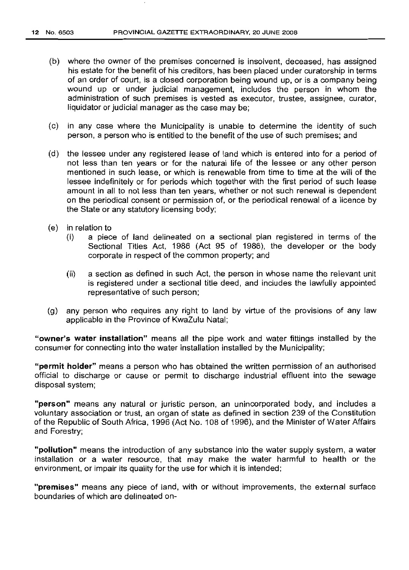- (b) where the owner of the premises concerned is insolvent, deceased, has assigned his estate for the benefit of his creditors, has been placed under curatorship in terms of an order of court, is a closed corporation being wound up, or is a company being wound up or under judicial management, includes the person in whom the administration of such premises is vested as executor, trustee, assignee, curator, liquidator or judicial manager as the case may be;
- (c) in any case where the Municipality is unable to determine the identity of such person, a person who is entitled to the benefit of the use of such premises; and
- (d) the lessee under any registered lease of land which is entered into for a period of not less than ten years or for the natural life of the lessee or any other person mentioned in such lease, or which is renewable from time to time at the will of the lessee indefinitely or for periods which together with the first period of such lease amount in all to not less than ten years, whether or not such renewal is dependent on the periodical consent or permission of, or the periodical renewal of a licence by the State or any statutory licensing body;
- (e) in relation to
	- (i) a piece of land delineated on a sectional plan registered in terms of the Sectional Titles Act, 1986 (Act 95 of 1986), the developer or the body corporate in respect of the common property; and
	- (ii) a section as defined in such Act, the person in whose name the relevant unit is registered under a sectional title deed, and includes the lawfully appointed representative of such person;
- (g) any person who requires any right to land by virtue of the provisions of any law applicable in the Province of KwaZulu Natal;

"owner's **water installation"** means all the pipe work and water fittings installed by the consumer for connecting into the water installation installed by the Municipality;

**"permit holder"** means a person who has obtained the written permission of an authorised official to discharge or cause or permit to discharge industrial effluent into the sewage disposal system;

**"person"** means any natural or juristic person, an unincorporated body, and includes a voluntary association or trust, an organ of state as defined in section 239 of the Constitution of the Republic of South Africa, 1996 (Act No.1 08 of 1996), and the Minister of Water Affairs and Forestry;

**"pollution"** means the introduction of any substance into the water supply system, a water installation or a water resource, that may make the water harmful to health or the environment, or impair its quality for the use for which it is intended;

**"premises"** means any piece of land, with or without improvements, the external surface boundaries of which are delineated on-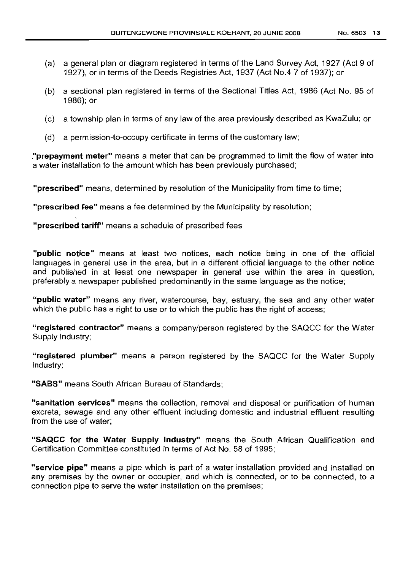- (a) a general plan or diagram registered in terms of the Land Survey Act, 1927 (Act 9 of 1927), or in terms of the Deeds Registries Act, 1937 (Act No.4 7 of 1937); or
- (b) a sectional plan registered in terms of the Sectional Titles Act, 1986 (Act No. 95 of 1986); or
- (c) a township plan in terms of any law of the area previously described as KwaZulu; or
- (d) a permission-to-occupy certificate in terms of the customary law;

**"prepayment meter"** means a meter that can be programmed to limit the flow of water into a water installation to the amount which has been previously purchased;

**"prescribed"** means, determined by resolution of the Municipality from time to time;

**"prescribed fee"** means a fee determined by the Municipality by resolution;

**"prescribed tariff"** means a schedule of prescribed fees

**"public notice"** means at least two notices, each notice being in one of the official languages in general use in the area, but in a different official language to the other notice and published in at least one newspaper in general use within the area in question, preferably a newspaper published predominantly in the same language as the notice;

**"public water"** means any river, watercourse, bay, estuary, the sea and any other water which the public has a right to use or to which the public has the right of access;

**"registered contractor"** means a company/person registered by the SAQCC for the Water Supply Industry;

**"registered plumber"** means a person registered by the SAQCC for the Water Supply Industry;

**"SABS"** means South African Bureau of Standards;

**"sanitation services"** means the collection, removal and disposal or purification of human excreta, sewage and any other effluent including domestic and industrial effluent resulting from the use of water;

**"SAQCC for the Water Supply Industry"** means the South African Qualification and Certification Committee constituted in terms of Act No. 58 of 1995;

**"service pipe"** means a pipe which is part of a water installation provided and installed on any premises by the owner or occupier, and which is connected, or to be connected, to a connection pipe to serve the water installation on the premises;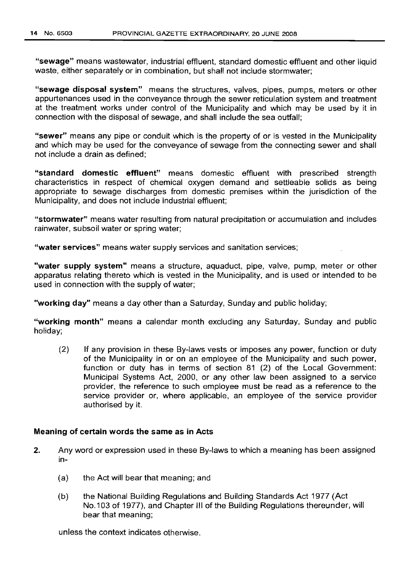"sewage" means wastewater, industrial effluent, standard domestic effluent and other liquid waste, either separately or in combination, but shall not include stormwater;

"sewage disposal system" means the structures, valves, pipes, pumps, meters or other appurtenances used in the conveyance through the sewer reticulation system and treatment at the treatment works under control of the Municipality and which may be used by it in connection with the disposal of sewage, and shall include the sea outfall;

"sewer" means any pipe or conduit which is the property of or is vested in the Municipality and which may be used for the conveyance of sewage from the connecting sewer and shall not include a drain as defined;

"standard domestic effluent" means domestic effluent with prescribed strength characteristics in respect of chemical oxygen demand and settleable solids as being appropriate to sewage discharges from domestic premises within the jurisdiction of the Municipality, and does not include industrial effluent;

"stormwater" means water resulting from natural precipitation or accumulation and includes rainwater, subsoil water or spring water;

"water services" means water supply services and sanitation services;

"water supply system" means a structure, aquaduct, pipe, valve, pump, meter or other apparatus relating thereto which is vested in the Municipality, and is used or intended to be used in connection with the supply of water;

"working day" means a day other than a Saturday, Sunday and public holiday;

"working month" means a calendar month excluding any Saturday, Sunday and public holiday;

(2) If any provision in these By-laws vests or imposes any power, function or duty of the Municipality in or on an employee of the Municipality and such power, function or duty has in terms of section 81 (2) of the Local Government: Municipal Systems Act, 2000, or any other law been assigned to a service provider, the reference to such employee must be read as a reference to the service provider or, where applicable, an employee of the service provider authorised by it.

#### Meaning of certain words the same as in Acts

- 2. Any word or expression used in these By-laws to which a meaning has been assigned in-
	- (a) the Act will bear that meaning; and
	- (b) the National Building Regulations and Building Standards Act 1977 (Act No.103 of 1977), and Chapter III of the Building Regulations thereunder, will bear that meaning;

unless the context indicates otherwise.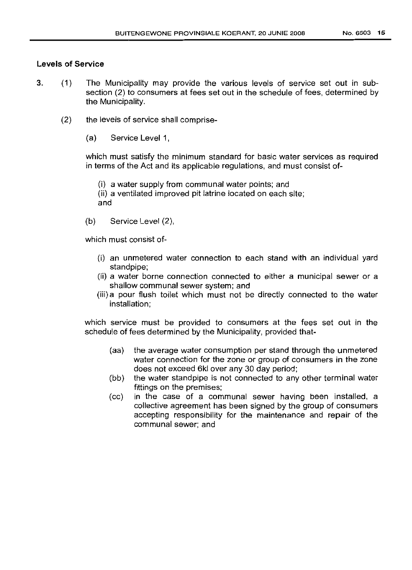## Levels of Service

- 3. (1) The Municipality may provide the various levels of service set out in subsection (2) to consumers at fees set out in the schedule of fees, determined by the Municipality.
	- (2) the levels of service shall comprise-
		- (a) Service Level 1,

which must satisfy the minimum standard for basic water services as required in terms of the Act and its applicable regulations, and must consist of-

(i) a water supply from communal water points; and

(ii) a ventilated improved pit latrine located on each site; and

(b) Service Level (2),

which must consist of-

- (i) an unmetered water connection to each stand with an individual yard standpipe;
- (ii) a water borne connection connected to either a municipal sewer or a shallow communal sewer system; and
- (iii) a pour flush toilet which must not be directly connected to the water installation;

which service must be provided to consumers at the fees set out in the schedule of fees determined by the Municipality, provided that-

- (aa) the average water consumption per stand through the unmetered water connection for the zone or group of consumers in the zone does not exceed 6kl over any 30 day period;
- (bb) the water standpipe is not connected to any other terminal water fittings on the premises;
- (cc) in the case of a communal sewer having been installed, a collective agreement has been signed by the group of consumers accepting responsibility for the maintenance and repair of the communal sewer; and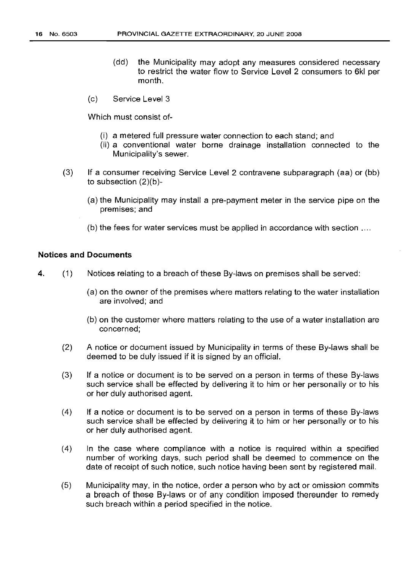- (dd) the Municipality may adopt any measures considered necessary to restrict the water flow to Service Level 2 consumers to 6kl per month.
- (c) Service Level 3

Which must consist of-

- (i) a metered full pressure water connection to each stand; and
- (ii) a conventional water borne drainage installation connected to the Municipality's sewer.
- (3) If a consumer receiving Service Level 2 contravene subparagraph (aa) or (bb) to subsection (2)(b)-
	- (a) the Municipality may install a pre-payment meter in the service pipe on the premises; and
	- (b) the fees for water services must be applied in accordance with section ....

# Notices and Documents

- 4. (1) Notices relating to a breach of these By-laws on premises shall be served:
	- (a) on the owner of the premises where matters relating to the water installation are involved; and
	- (b) on the customer where matters relating to the use of a water installation are concerned;
	- (2) A notice or document issued by Municipality in terms of these By-laws shall be deemed to be duly issued if it is signed by an official.
	- (3) If a notice or document is to be served on a person in terms of these By-laws such service shall be effected by delivering it to him or her personally or to his or her duly authorised agent.
	- (4) If a notice or document is to be served on a person in terms of these By-laws such service shall be effected by delivering it to him or her personally or to his or her duly authorised agent.
	- (4) In the case where compliance with a notice is required within a specified number of working days, such period shall be deemed to commence on the date of receipt of such notice, such notice having been sent by registered mail.
	- (5) Municipality may, in the notice, order a person who by act or omission commits a breach of these By-laws or of any condition imposed thereunder to remedy such breach within a period specified in the notice.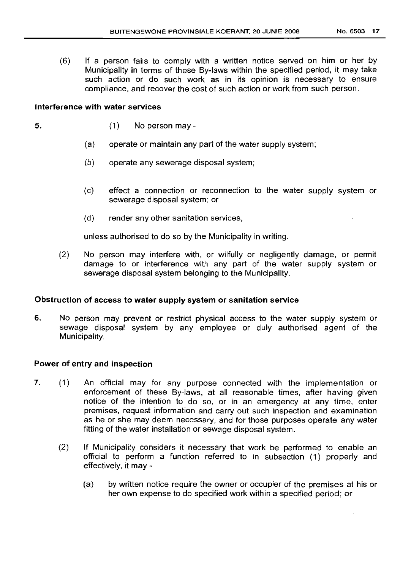(6) If a person fails to comply with a written notice served on him or her by Municipality in terms of these By-laws within the specified period, it may take such action or do such work as in its opinion is necessary to ensure compliance, and recover the cost of such action or work from such person.

#### **Interference with water services**

5. (1) No person may -

- (a) operate or maintain any part of the water supply system;
- (b) operate any sewerage disposal system;
- (c) effect a connection or reconnection to the water supply system or sewerage disposal system; or
- (d) render any other sanitation services,

unless authorised to do so by the Municipality in writing.

(2) No person may interfere with, or wilfully or negligently damage, or permit damage to or interference with any part of the water supply system or sewerage disposal system belonging to the Municipality.

## **Obstruction of access to water supply system or sanitation service**

6. No person may prevent or restrict physical access to the water supply system or sewage disposal system by any employee or duly authorised agent of the Municipality.

## **Power of entry and inspection**

- 7. (1) An official may for any purpose connected with the implementation or enforcement of these By-laws, at all reasonable times, after having given notice of the intention to do so, or in an emergency at any time, enter premises, request information and carry out such inspection and examination as he or she may deem necessary, and for those purposes operate any water fitting of the water installation or sewage disposal system.
	- (2) If Municipality considers it necessary that work be performed to enable an official to perform a function referred to in subsection (1) properly and effectively, it may -
		- (a) by written notice require the owner or occupier of the premises at his or her own expense to do specified work within a specified period; or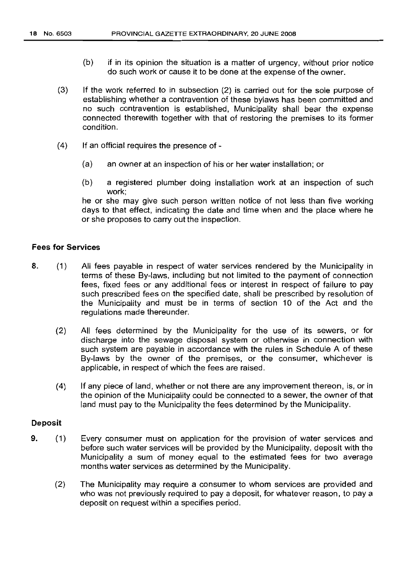- (b) if in its opinion the situation is a matter of urgency, without prior notice do such work or cause it to be done at the expense of the owner.
- (3) If the work referred to in subsection (2) is carried out for the sole purpose of establishing whether a contravention of these bylaws has been committed and no such contravention is established, Municipality shall bear the expense connected therewith together with that of restoring the premises to its former condition.
- (4) If an official requires the presence of
	- (a) an owner at an inspection of his or her water installation; or
	- (b) a registered plumber doing installation work at an inspection of such work;

he or she may give such person written notice of not less than five working days to that effect, indicating the date and time when and the place where he or she proposes to carry out the inspection.

# Fees for Services

- 8. (1) All fees payable in respect of water services rendered by the Municipality in terms of these By-laws, including but not limited to the payment of connection fees, fixed fees or any additional fees or interest in respect of failure to pay such prescribed fees on the specified date, shall be prescribed by resolution of the Municipality and must be in terms of section 10 of the Act and the regulations made thereunder.
	- (2) All fees determined by the Municipality for the use of its sewers, or for discharge into the sewage disposal system or otherwise in connection with such system are payable in accordance with the rules in Schedule A of these By-laws by the owner of the premises, or the consumer, whichever is applicable, in respect of which the fees are raised.
	- (4) If any piece of land, whether or not there are any improvement thereon, is, or in the opinion of the Municipality could be connected to a sewer, the owner of that land must pay to the Municipality the fees determined by the Municipality.

#### Deposit

- 9. (1) Every consumer must on application for the provision of water services and before such water services will be provided by the Municipality, deposit with the Municipality a sum of money equal to the estimated fees for two average months water services as determined by the Municipality.
	- (2) The Municipality may require a consumer to whom services are provided and who was not previously required to pay a deposit, for whatever reason, to pay a deposit on request within a specifies period.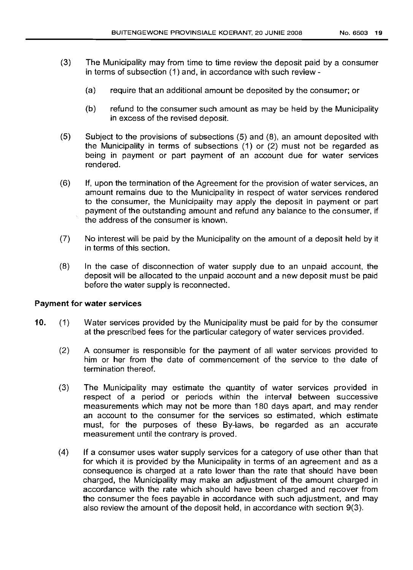- (3) The Municipality may from time to time review the deposit paid by a consumer in terms of subsection (1) and, in accordance with such review-
	- (a) require that an additional amount be deposited by the consumer; or
	- (b) refund to the consumer such amount as may be held by the Municipality in excess of the revised deposit.
- (5) Subject to the provisions of subsections (5) and (8), an amount deposited with the Municipality in terms of subsections (1) or (2) must not be regarded as being in payment or part payment of an account due for water services rendered.
- (6) If, upon the termination of the Agreement for the provision of water services, an amount remains due to the Municipality in respect of water services rendered to the consumer, the Municipality may apply the deposit in payment or part payment of the outstanding amount and refund any balance to the consumer, if the address of the consumer is known.
- (7) No interest will be paid by the Municipality on the amount of a deposit held by it in terms of this section.
- (8) In the case of disconnection of water supply due to an unpaid account, the deposit will be allocated to the unpaid account and a new deposit must be paid before the water supply is reconnected.

## Payment for water services

- 10. (1) Water services provided by the Municipality must be paid for by the consumer at the prescribed fees for the particular category of water services provided.
	- (2) A consumer is responsible for the payment of all water services provided to him or her from the date of commencement of the service to the date of termination thereof.
	- (3) The Municipality may estimate the quantity of water services provided in respect of a period or periods within the interval between successive measurements which may not be more than 180 days apart, and may render an account to the consumer for the services so estimated, which estimate must, for the purposes of these By-laws, be regarded as an accurate measurement until the contrary is proved.
	- (4) If a consumer uses water supply services for a category of use other than that for which it is provided by the Municipality in terms of an agreement and as a consequence is charged at a rate lower than the rate that should have been charged, the Municipality may make an adjustment of the amount charged in accordance with the rate which should have been charged and recover from the consumer the fees payable in accordance with such adjustment, and may also review the amount of the deposit held, in accordance with section 9(3).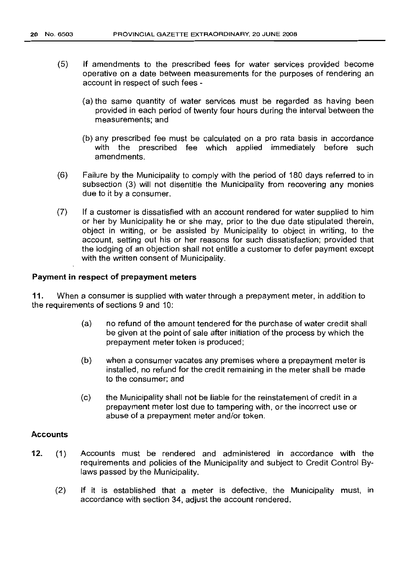- (5) If amendments to the prescribed fees for water services provided become operative on a date between measurements for the purposes of rendering an account in respect of such fees -
	- (a) the same quantity of water services must be regarded as having been provided in each period of twenty four hours during the interval between the measurements; and
	- (b) any prescribed fee must be calculated on a pro rata basis in accordance with the prescribed fee which applied immediately before such amendments.
- (6) Failure by the Municipality to comply with the period of 180 days referred to in subsection (3) will not disentitle the Municipality from recovering any monies due to it by a consumer.
- (7) If a customer is dissatisfied with an account rendered for water supplied to him or her by Municipality he or she may, prior to the due date stipulated therein, object in writing, or be assisted by Municipality to object in writing, to the account, setting out his or her reasons for such dissatisfaction; provided that the lodging of an objection shall not entitle a customer to defer payment except with the written consent of Municipality.

#### Payment in respect of prepayment meters

11. When a consumer is supplied with water through a prepayment meter, in addition to the requirements of sections 9 and 10:

- (a) no refund of the amount tendered for the purchase of water credit shall be given at the point of sale after initiation of the process by which the prepayment meter token is produced;
- (b) when a consumer vacates any premises where a prepayment meter is installed, no refund for the credit remaining in the meter shall be made to the consumer; and
- (c) the Municipality shall not be liable for the reinstatement of credit in a prepayment meter lost due to tampering with, or the incorrect use or abuse of a prepayment meter and/or token.

#### **Accounts**

- 12. (1) Accounts must be rendered and administered in accordance with the requirements and policies of the Municipality and subject to Credit Control Bylaws passed by the Municipality.
	- (2) If it is established that a meter is defective, the Municipality must, in accordance with section 34, adjust the account rendered.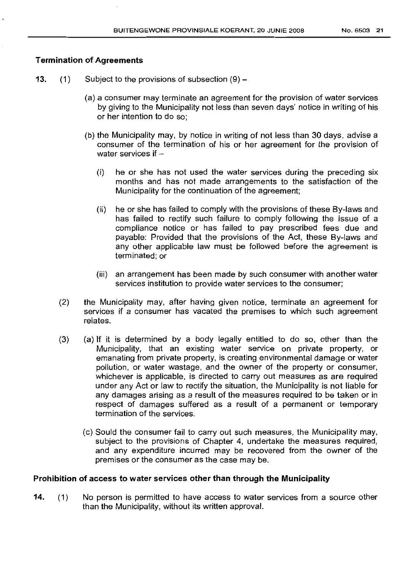## Termination of Agreements

- **13.** (1) Subject to the provisions of subsection  $(9)$ 
	- (a) a consumer may terminate an agreement for the provision of water services by giving to the Municipality not less than seven days' notice in writing of his or her intention to do so;
	- (b) the Municipality may, by notice in writing of not less than 30 days, advise a consumer of the termination of his or her agreement for the provision of water services if  $-$ 
		- (i) he or she has not used the water services during the preceding six months and has not made arrangements to the satisfaction of the Municipality for the continuation of the agreement;
		- (ii) he or she has failed to comply with the provisions of these By-laws and has failed to rectify such failure to comply following the issue of a compliance notice or has failed to pay prescribed fees due and payable: Provided that the provisions of the Act, these By-laws and any other applicable law must be followed before the agreement is terminated; or
		- (iii) an arrangement has been made by such consumer with another water services institution to provide water services to the consumer;
	- (2) the Municipality may, after having given notice, terminate an agreement for services if a consumer has vacated the premises to which such agreement relates.
	- (3) (a) If it is determined by a body legally entitled to do so, other than the Municipality, that an existing water service on private property, or emanating from private property, is creating environmental damage or water pollution, or water wastage, and the owner of the property or consumer, whichever is applicable, is directed to carry out measures as are required under any Act or law to rectify the situation, the Municipality is not liable for any damages arising as a result of the measures required to be taken or in respect of damages suffered as a result of a permanent or temporary termination of the services.
		- (c) Sould the consumer fail to carry out such measures, the Municipality may, subject to the provisions of Chapter 4, undertake the measures required, and any expenditure incurred may be recovered from the owner of the premises or the consumer as the case may be.

### Prohibition of access to water services other than through the Municipality

14. (1) No person is permitted to have access to water services from a source other than the Municipality, without its written approval.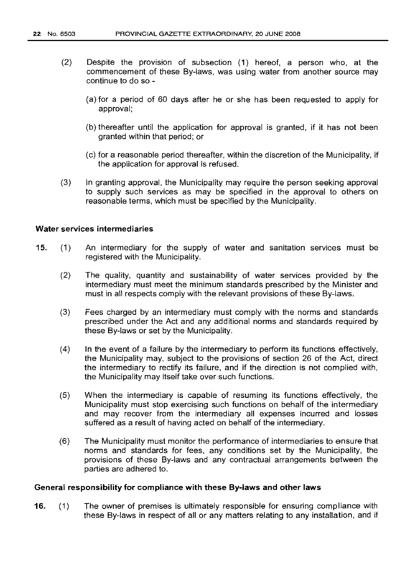- $(2)$  Despite the provision of subsection  $(1)$  hereof, a person who, at the commencement of these By-laws, was using water from another source may continue to do so -
	- (a) for a period of 60 days after he or she has been requested to apply for approval;
	- (b) thereafter until the application for approval is granted, if it has not been granted within that period; or
	- (c) for a reasonable period thereafter, within the discretion of the Municipality, if the application for approval is refused.
- (3) In granting approval, the Municipality may require the person seeking approval to supply such services as may be specified in the approval to others on reasonable terms, which must be specified by the Municipality.

#### Water services intermediaries

- 15. (1) An intermediary for the supply of water and sanitation services must be registered with the Municipality.
	- (2) The quality, quantity and sustainability of water services provided by the intermediary must meet the minimum standards prescribed by the Minister and must in all respects comply with the relevant provisions of these By-laws.
	- (3) Fees charged by an intermediary must comply with the norms and standards prescribed under the Act and any additional norms and standards required by these By-laws or set by the Municipality.
	- (4) In the event of a failure by the intermediary to perform its functions effectively, the Municipality may, subject to the provisions of section 26 of the Act, direct the intermediary to rectify its failure, and if the direction is not complied with, the Municipality may itself take over such functions.
	- (5) When the intermediary is capable of resuming its functions effectively, the Municipality must stop exercising such functions on behalf of the intermediary and may recover from the intermediary all expenses incurred and losses suffered as a result of havinq acted on behalf of the intermediary.
	- (6) The Municipality must monitor the performance of intermediaries to ensure that norms and standards for fees, any conditions set by the Municipality, the provisions of these By-laws and any contractual arrangements between the parties are adhered to.

#### General responsibility for compliance with these By-laws and other laws

16. (1) The owner of premises is ultimately responsible for ensuring compliance with these By-laws in respect of all or any matters relating to any installation, and if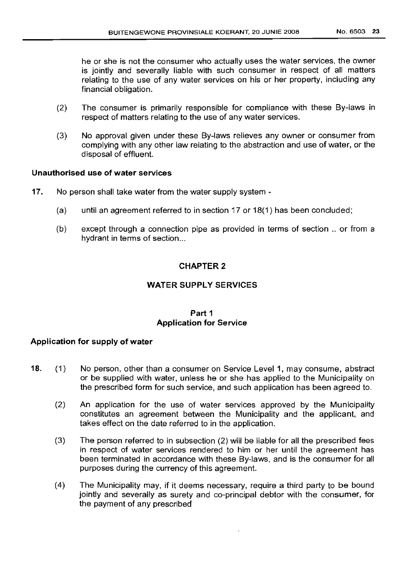he or she is not the consumer who actually uses the water services, the owner is jointly and severally liable with such consumer in respect of all matters relating to the use of any water services on his or her property, including any financial obligation.

- (2) The consumer is primarily responsible for compliance with these By-laws in respect of matters relating to the use of any water services.
- (3) No approval given under these By-laws relieves any owner or consumer from complying with any other law relating to the abstraction and use of water, or the disposal of effluent.

# Unauthorised use of water services

- 17. No person shall take water from the water supply system
	- (a) until an agreement referred to in section 17 or 18(1) has been concluded;
	- (b) except through a connection pipe as provided in terms of section .. or from a hydrant in terms of section...

# CHAPTER 2

## WATER SUPPLY SERVICES

## Part 1 Application for Service

## Application for supply of water

- 18. (1) No person, other than a consumer on Service Level 1, may consume, abstract or be supplied with water, unless he or she has applied to the Municipality on the prescribed form for such service, and such application has been agreed to.
	- (2) An application for the use of water services approved by the Municipality constitutes an agreement between the Municipality and the applicant, and takes effect on the date referred to in the application.
	- (3) The person referred to in subsection (2) will be liable for all the prescribed fees in respect of water services rendered to him or her until the agreement has been terminated in accordance with these By-laws, and is the consumer for all purposes during the currency of this agreement.
	- (4) The Municipality may, if it deems necessary, require a third party to be bound jointly and severally as surety and co-principal debtor with the consumer, for the payment of any prescribed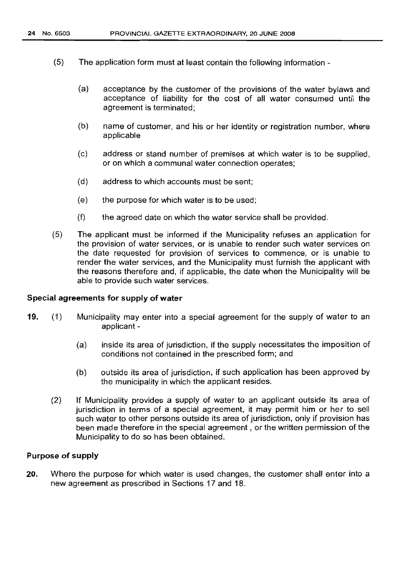- (5) The application form must at least contain the following information
	- (a) acceptance by the customer of the provisions of the water bylaws and acceptance of liability for the cost of all water consumed until the agreement is terminated;
	- (b) name of customer, and his or her identity or registration number, where applicable
	- (c) address or stand number of premises at which water is to be supplied, or on which a communal water connection operates;
	- (d) address to which accounts must be sent;
	- $(e)$  the purpose for which water is to be used;
	- (f) the agreed date on which the water service shall be provided.
- (5) The applicant must be informed if the Municipality refuses an application for the provision of water services, or is unable to render such water services on the date requested for provision of services to commence, or is unable to render the water services, and the Municipality must furnish the applicant with the reasons therefore and, if applicable, the date when the Municipality will be able to provide such water services.

## Special agreements for supply of water

- 19. (1) Municipality may enter into a special agreement for the supply of water to an applicant -
	- (a) inside its area of jurisdiction, if the supply necessitates the imposition of conditions not contained in the prescribed form; and
	- (b) outside its area of jurisdiction, if such application has been approved by the municipality in which the applicant resides.
	- (2) If Municipality provides a supply of water to an applicant outside its area of jurisdiction in terms of a special agreement, it may permit him or her to sell such water to other persons outside its area of jurisdiction, only if provision has been made therefore in the special agreement, or the written permission of the Municipality to do so has been obtained.

#### Purpose of supply

20. Where the purpose for which water is used changes, the customer shall enter into a new agreement as prescribed in Sections 17 and 18.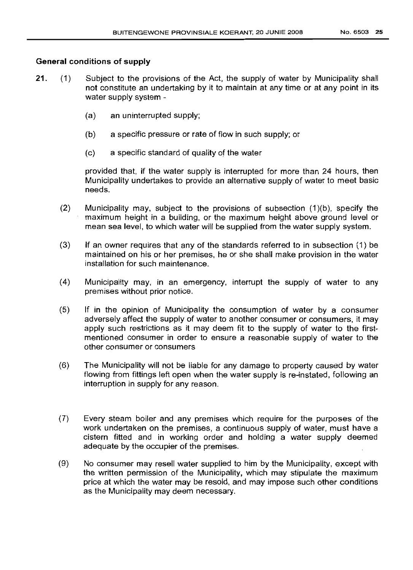#### General conditions of supply

- 21. (1) Subject to the provisions of the Act, the supply of water by Municipality shall not constitute an undertaking by it to maintain at any time or at any point in its water supply system -
	- (a) an uninterrupted supply;
	- (b) a specific pressure or rate of flow in such supply; or
	- (c) a specific standard of quality of the water

provided that, if the water supply is interrupted for more than 24 hours, then Municipality undertakes to provide an alternative supply of water to meet basic needs.

- (2) Municipality may, subject to the provisions of subsection (1)(b), specify the maximum height in a building, or the maximum height above ground level or mean sea level, to which water will be supplied from the water supply system.
- (3) If an owner requires that any of the standards referred to in subsection (1) be maintained on his or her premises, he or she shall make provision in the water installation for such maintenance.
- (4) Municipality may, in an emergency, interrupt the supply of water to any premises without prior notice.
- (5) If in the opinion of Municipality the consumption of water by a consumer adversely affect the supply of water to another consumer or consumers, it may apply such restrictions as it may deem fit to the supply of water to the firstmentioned consumer in order to ensure a reasonable supply of water to the other consumer or consumers
- (6) The Municipality will not be liable for any damage to property caused by water flowing from fittings left open when the water supply is re-instated, following an interruption in supply for any reason.
- (7) Every steam boiler and any premises which require for the purposes of the work undertaken on the premises, a continuous supply of water, must have a cistern fitted and in working order and holding a water supply deemed adequate by the occupier of the premises.
- (9) No consumer may resell water supplied to him by the Municipality, except with the written permission of the Municipality, which may stipulate the maximum price at which the water may be resold, and may impose such other conditions as the Municipality may deem necessary.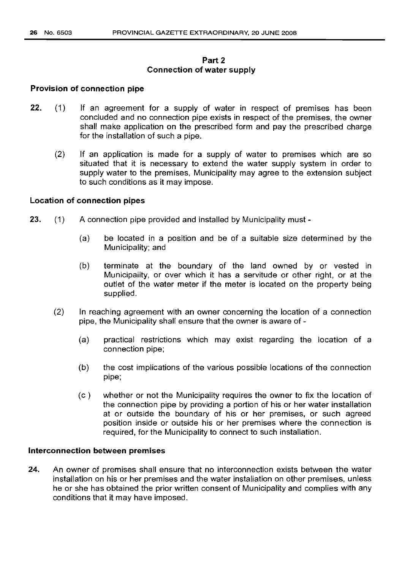## **Part 2 Connection of water supply**

#### **Provision of connection pipe**

- 22. (1) If an agreement for a supply of water in respect of premises has been concluded and no connection pipe exists in respect of the premises, the owner shall make application on the prescribed form and pay the prescribed charge for the installation of such a pipe.
	- (2) If an application is made for a supply of water to premises which are so situated that it is necessary to extend the water supply system in order to supply water to the premises, Municipality may agree to the extension subject to such conditions as it may impose.

#### **Location of connection pipes**

- 23. (1) A connection pipe provided and installed by Municipality must -
	- (a) be located in a position and be of a suitable size determined by the Municipality; and
	- (b) terminate at the boundary of the land owned by or vested in Municipality, or over which it has a servitude or other right, or at the outlet of the water meter if the meter is located on the property being supplied.
	- (2) In reaching agreement with an owner concerning the location of a connection pipe, the Municipality shall ensure that the owner is aware of -
		- (a) practical restrictions which may exist regarding the location of a connection pipe;
		- (b) the cost implications of the various possible locations of the connection pipe;
		- (c) whether or not the Municipality requires the owner to fix the location of the connection pipe by providing a portion of his or her water installation at or outside the boundary of his or her premises, or such agreed position inside or outside his or her premises where the connection is required, for the Municipality to connect to such installation.

#### **Interconnection between premises**

24. An owner of premises shall ensure that no interconnection exists between the water installation on his or her premises and the water installation on other premises, unless he or she has obtained the prior written consent of Municipality and complies with any conditions that it may have imposed.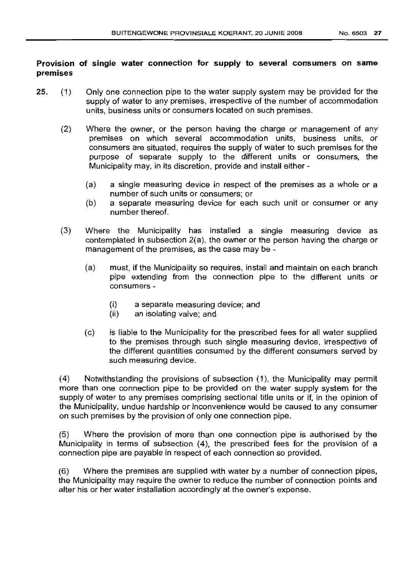## Provision of single water connection for supply to several consumers on same premises

- 25. (1) Only one connection pipe to the water supply system may be provided for the supply of water to any premises, irrespective of the number of accommodation units, business units or consumers located on such premises.
	- (2) Where the owner, or the person having the charge or management of any premises on which several accommodation units, business units, or consumers are situated, requires the supply of water to such premises for the purpose of separate supply to the different units or consumers, the Municipality may, in its discretion, provide and install either -
		- (a) a single measuring device in respect of the premises as a whole or a number of such units or consumers; or
		- (b) a separate measuring device for each such unit or consumer or any number thereof.
	- (3) Where the Municipality has installed a single measuring device as contemplated in subsection 2(a), the owner or the person having the charge or management of the premises, as the case may be -
		- (a) must, if the Municipality so requires, install and maintain on each branch pipe extending from the connection pipe to the different units or consumers -
			- (i) a separate measuring device; and
			- (ii) an isolating valve; and
		- (c) is liable to the Municipality for the prescribed fees for all water supplied to the premises through such single measuring device, irrespective of the different quantities consumed by the different consumers served by such measuring device.

(4) Notwithstanding the provisions of subsection (1), the Municipality may permit more than one connection pipe to be provided on the water supply system for the supply of water to any premises comprising sectional title units or if, in the opinion of the Municipality, undue hardship or inconvenience would be caused to any consumer on such premises by the provision of only one connection pipe.

(5) Where the provision of more than one connection pipe is authorised by the Municipality in terms of subsection (4), the prescribed fees for the provision of a connection pipe are payable in respect of each connection so provided.

(6) Where the premises are supplied with water by a number of connection pipes, the Municipality may require the owner to reduce the number of connection points and alter his or her water installation accordingly at the owner's expense.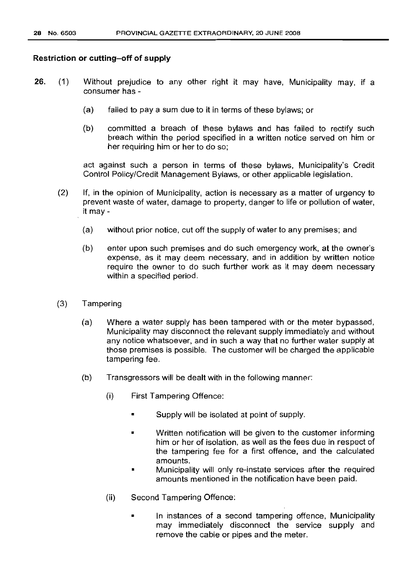#### Restriction or cutting-off of supply

- 26. (1) Without prejudice to any other right it may have, Municipality may, if a consumer has -
	- (a) failed to pay a sum due to it in terms of these bylaws; or
	- (b) committed a breach of these bylaws and has failed to rectify such breach within the period specified in a written notice served on him or her requiring him or her to do so;

act against such a person in terms of these bylaws, Municipality's Credit Control Policy/Credit Management Bylaws, or other applicable legislation.

- (2) If, in the opinion of Municipality, action is necessary as a matter of urgency to prevent waste of water, damage to property, danger to life or pollution of water, it may-
	- (a) without prior notice, cut off the supply of water to any premises; and
	- (b) enter upon such premises and do such emergency work, at the owner's expense, as it may deem necessary, and in addition by written notice require the owner to do such further work as it may deem necessary within a specified period.
- (3) Tampering
	- (a) Where a water supply has been tampered with or the meter bypassed, Municipality may disconnect the relevant supply immediately and without any notice whatsoever, and in such a way that no further water supply at those premises is possible. The customer will be charged the applicable tampering fee.
	- (b) Transgressors will be dealt with in the following manner:
		- (i) First Tampering Offence:
			- Supply will be isolated at point of supply.
			- Written notification will be given to the customer informing him or her of isolation, as well as the fees due in respect of the tampering fee for a first offence, and the calculated amounts.
			- Municipality will only re-instate services after the required amounts mentioned in the notification have been paid.
		- (ii) Second Tampering Offence:
			- In instances of a second tampering offence, Municipality may immediately disconnect the service supply and remove the cable or pipes and the meter.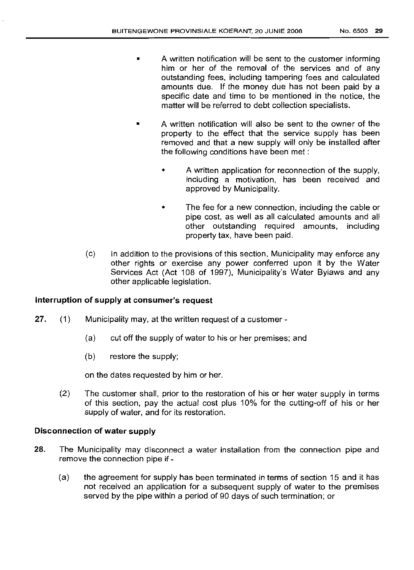- A written notification will be sent to the customer informing him or her of the removal of the services and of any outstanding fees, including tampering fees and calculated amounts due. If the money due has not been paid by a specific date and time to be mentioned in the notice, the matter will be referred to debt collection specialists.
- A written notification will also be sent to the owner of the property to the effect that the service supply has been removed and that a new supply will only be installed after the following conditions have been met:
	- A written application for reconnection of the supply, including a motivation, has been received and approved by Municipality.
	- The fee for a new connection, including the cable or pipe cost, as well as all calculated amounts and all other outstanding required amounts, including property tax, have been paid.
- (c) In addition to the provisions of this section, Municipality may enforce any other rights or exercise any power conferred upon it by the Water Services Act (Act 108 of 1997), Municipality's Water Bylaws and any other applicable legislation.

# Interruption of supply at consumer's request

- 27. (1) Municipality may, at the written request of a customer-
	- (a) cut off the supply of water to his or her premises; and
	- (b) restore the supply;

on the dates requested by him or her.

(2) The customer shall, prior to the restoration of his or her water supply in terms of this section, pay the actual cost plus 10% for the cutting-off of his or her supply of water, and for its restoration.

#### Disconnection of water supply

- 28. The Municipality may disconnect a water installation from the connection pipe and remove the connection pipe if -
	- (a) the agreement for supply has been terminated in terms of section 15 and it has not received an application for a subsequent supply of water to the premises served by the pipe within a period of 90 days of such termination; or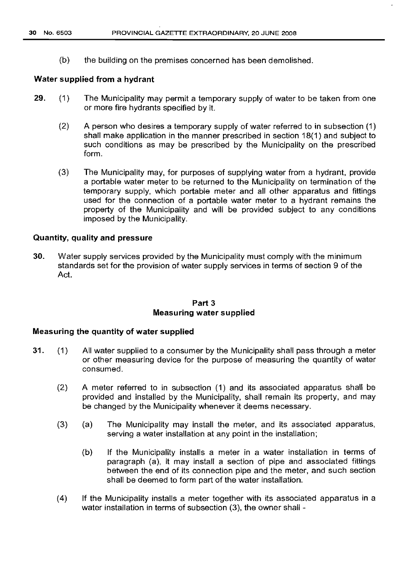(b) the building on the premises concerned has been demolished.

#### **Water supplied from a hydrant**

- 29. (1) The Municipality may permit a temporary supply of water to be taken from one or more fire hydrants specified by it.
	- (2) A person who desires a temporary supply of water referred to in subsection (1) shall make application in the manner prescribed in section 18(1) and subject to such conditions as may be prescribed by the Municipality on the prescribed form.
	- (3) The Municipality may, for purposes of supplying water from a hydrant, provide a portable water meter to be returned to the Municipality on termination of the temporary supply, which portable meter and all other apparatus and fittings used for the connection of a portable water meter to a hydrant remains the property of the Municipality and will be provided subject to any conditions imposed by the Municipality.

#### **Quantity, quality and pressure**

30. Water supply services provided by the Municipality must comply with the minimum standards set for the provision of water supply services in terms of section 9 of the Act.

#### **Part** 3 **Measuring water supplied**

## **Measuring the quantity of water supplied**

- 31. (1) All water supplied to a consumer by the Municipality shall pass through a meter or other measuring device for the purpose of measuring the quantity of water consumed.
	- (2) A meter referred to in subsection (1) and its associated apparatus shall be provided and installed by the Municipality, shall remain its property, and may be changed by the Municipality whenever it deems necessary.
	- (3) (a) The Municipality may install the meter, and its associated apparatus, serving a water installation at any point in the installation;
		- (b) If the Municipality installs a meter in a water installation in terms of paragraph (a), it may install a section of pipe and associated fittings between the end of its connection pipe and the meter, and such section shall be deemed to form part of the water installation.
	- (4) If the Municipality installs a meter together with its associated apparatus in a water installation in terms of subsection (3), the owner shall -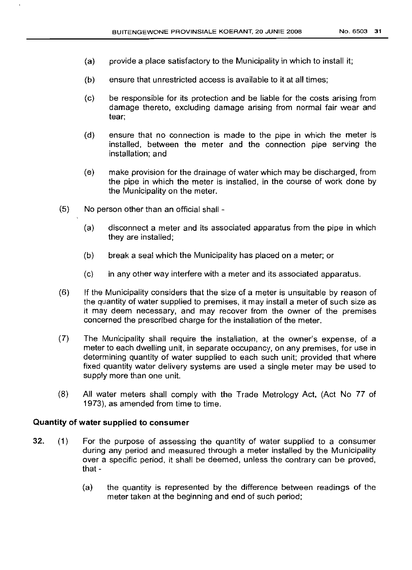- (a) provide a place satisfactory to the Municipality in which to install it;
- (b) ensure that unrestricted access is available to it at all times;
- (c) be responsible for its protection and be liable for the costs arising from damage thereto, excluding damage arising from normal fair wear and tear;
- (d) ensure that no connection is made to the pipe in which the meter is installed, between the meter and the connection pipe serving the installation; and
- (e) make provision for the drainage of water which may be discharged, from the pipe in which the meter is installed, in the course of work done by the Municipality on the meter.
- (5) No person other than an official shall
	- (a) disconnect a meter and its associated apparatus from the pipe in which they are installed;
	- (b) break a seal which the Municipality has placed on a meter; or
	- (c) in any other way interfere with a meter and its associated apparatus.
- (6) If the Municipality considers that the size of a meter is unsuitable by reason of the quantity of water supplied to premises, it may install a meter of such size as it may deem necessary, and may recover from the owner of the premises concerned the prescribed charge for the installation of the meter.
- (7) The Municipality shall require the installation, at the owner's expense, of a meter to each dwelling unit, in separate occupancy, on any premises, for use in determining quantity of water supplied to each such unit; provided that where fixed quantity water delivery systems are used a single meter may be used to supply more than one unit.
- (8) All water meters shall comply with the Trade Metrology Act, (Act No 77 of 1973), as amended from time to time.

## Quantity of water supplied to consumer

- 32. (1) For the purpose of assessing the quantity of water supplied to a consumer during any period and measured through a meter installed by the Municipality over a specific period, it shall be deemed, unless the contrary can be proved, that -
	- (a) the quantity is represented by the difference between readings of the meter taken at the beginning and end of such period;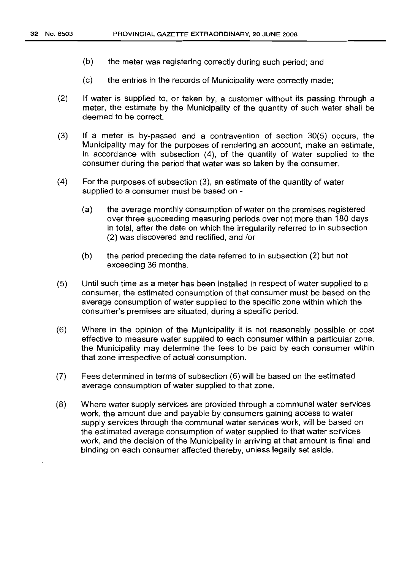- (b) the meter was registering correctly during such period; and
- (c) the entries in the records of Municipality were correctly made;
- (2) If water is supplied to, or taken by, a customer without its passing through a meter, the estimate by the Municipality of the quantity of such water shall be deemed to be correct.
- (3) If a meter is by-passed and a contravention of section 30(5) occurs, the Municipality may for the purposes of rendering an account, make an estimate, in accordance with subsection (4), of the quantity of water supplied to the consumer during the period that water was so taken by the consumer.
- (4) For the purposes of subsection (3), an estimate of the quantity of water supplied to a consumer must be based on -
	- (a) the average monthly consumption of water on the premises registered over three succeeding measuring periods over not more than 180 days in total, after the date on which the irregularity referred to in subsection (2) was discovered and rectified, and /or
	- (b) the period preceding the date referred to in subsection (2) but not exceeding 36 months.
- (5) Until such time as a meter has been installed in respect of water supplied to a consumer, the estimated consumption of that consumer must be based on the average consumption of water supplied to the specific zone within which the consumer's premises are situated, during a specific period.
- (6) Where in the opinion of the Municipality it is not reasonably possible or cost effective to measure water supplied to each consumer within a particular zone, the Municipality may determine the fees to be paid by each consumer within that zone irrespective of actual consumption.
- (7) Fees determined in terms of subsection (6) will be based on the estimated average consumption of water supplied to that zone.
- (8) Where water supply services are provided through a communal water services work, the amount due and payable by consumers gaining access to water supply services through the communal water services work, will be based on the estimated average consumption of water supplied to that water services work, and the decision of the Municipality in arriving at that amount is final and binding on each consumer affected thereby, unless legally set aside.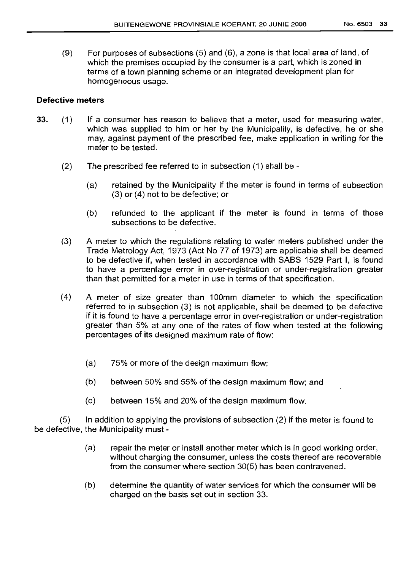(9) For purposes of subsections (5) and (6), a zone is that local area of land, of which the premises occupied by the consumer is a part, which is zoned in terms of a town planning scheme or an integrated development plan for homogeneous usage.

#### **Defective meters**

- 33. (1) If a consumer has reason to believe that a meter, used for measuring water, which was supplied to him or her by the Municipality, is defective, he or she may, against payment of the prescribed fee, make application in writing for the meter to be tested.
	- (2) The prescribed fee referred to in subsection (1) shall be
		- (a) retained by the Municipality if the meter is found in terms of subsection (3) or (4) not to be defective; or
		- (b) refunded to the applicant if the meter is found in terms of those subsections to be defective.
	- (3) A meter to which the regulations relating to water meters published under the Trade Metrology Act, 1973 (Act No 77 of 1973) are applicable shall be deemed to be defective if, when tested in accordance with SABS 1529 Part I, is found to have a percentage error in over-registration or under-registration greater than that permitted for a meter in use in terms of that specification.
	- (4) A meter of size greater than 100mm diameter to which the specification referred to in subsection (3) is not applicable, shall be deemed to be defective if it is found to have a percentage error in over-registration or under-registration greater than 5% at any one of the rates of flow when tested at the following percentages of its designed maximum rate of flow:
		- (a) 75% or more of the design maximum flow;
		- (b) between 50% and 55% of the design maximum flow; and
		- (c) between 15% and 20% of the design maximum flow.

 $(5)$  In addition to applying the provisions of subsection  $(2)$  if the meter is found to be defective, the Municipality must -

- (a) repair the meter or install another meter which is in good working order, without charging the consumer, unless the costs thereof are recoverable from the consumer where section 30(5) has been contravened.
- (b) determine the quantity of water services for which the consumer will be charged on the basis set out in section 33.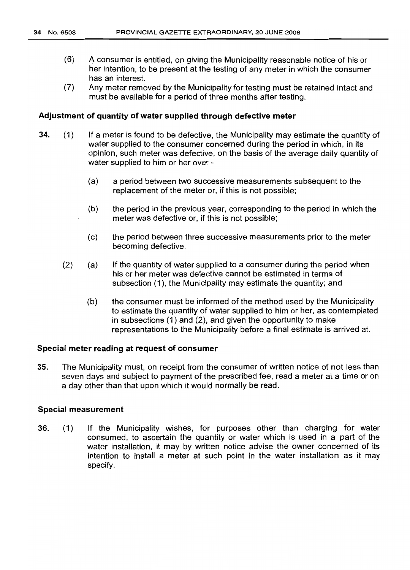- (6) A consumer is entitled, on giving the Municipality reasonable notice of his or her intention, to be present at the testing of any meter in which the consumer has an interest.
- (7) Any meter removed by the Municipality for testing must be retained intact and must be available for a period of three months after testing.

#### **Adjustment of quantity of water supplied through defective meter**

- 34. (1) If a meter is found to be defective, the Municipality may estimate the quantity of water supplied to the consumer concerned during the period in which, in its opinion, such meter was defective, on the basis of the average daily quantity of water supplied to him or her over -
	- (a) a period between two successive measurements subsequent to the replacement of the meter or, if this is not possible;
	- (b) the period in the previous year, corresponding to the period in which the meter was defective or, if this is not possible;
	- (c) the period between three successive measurements prior to the meter becoming defective.
	- (2) (a) If the quantity of water supplied to a consumer during the period when his or her meter was defective cannot be estimated in terms of subsection (1), the Municipality may estimate the quantity; and
		- (b) the consumer must be informed of the method used by the Municipality to estimate the quantity of water supplied to him or her, as contemplated in subsections (1) and (2), and given the opportunity to make representations to the Municipality before a final estimate is arrived at.

#### **Special meter reading at request of consumer**

35. The Municipality must, on receipt from the consumer of written notice of not less than seven days and subject to payment of the prescribed fee, read a meter at a time or on a day other than that upon which it would normally be read.

#### **Special measurement**

36. (1) If the Municipality wishes, for purposes other than charging for water consumed, to ascertain the quantity or water which is used in a part of the water installation, it may by written notice advise the owner concerned of its intention to install a meter at such point in the water installation as it may specify.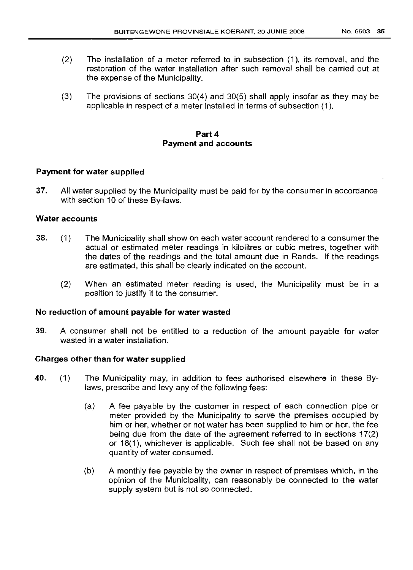- (2) The installation of a meter referred to in subsection (1), its removal, and the restoration of the water installation after such removal shall be carried out at the expense of the Municipality.
- (3) The provisions of sections 30(4) and 30(5) shall apply insofar as they may be applicable in respect of a meter installed in terms of subsection (1).

# Part 4 Payment and accounts

# Payment for water supplied

37. All water supplied by the Municipality must be paid for by the consumer in accordance with section 10 of these By-laws.

### Water accounts

- 38. (1) The Municipality shall show on each water account rendered to a consumer the actual or estimated meter readings in kilolitres or cubic metres, together with the dates of the readings and the total amount due in Rands. If the readings are estimated, this shall be clearly indicated on the account.
	- (2) When an estimated meter reading is used, the Municipality must be in a position to justify it to the consumer.

### No reduction of amount payable for water wasted

39. A consumer shall not be entitled to a reduction of the amount payable for water wasted in a water installation.

### Charges other than for water supplied

- 40. (1) The Municipality may, in addition to fees authorised elsewhere in these Bylaws, prescribe and levy any of the following fees:
	- (a) A fee payable by the customer in respect of each connection pipe or meter provided by the Municipality to serve the premises occupied by him or her, whether or not water has been supplied to him or her, the fee being due from the date of the agreement referred to in sections 17(2) or 18(1), whichever is applicable. Such fee shall not be based on any quantity of water consumed.
	- (b) A monthly fee payable by the owner in respect of premises which, in the opinion of the Municipality, can reasonably be connected to the water supply system but is not so connected.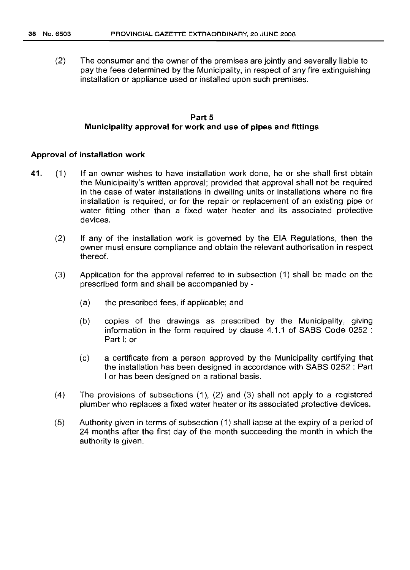(2) The consumer and the owner of the premises are jointly and severally liable to pay the fees determined by the Municipality, in respect of any fire extinguishing installation or appliance used or installed upon such premises.

## Part 5 Municipality approval for work and use of pipes and fittings

#### Approval of installation work

- 41. (1) If an owner wishes to have installation work done, he or she shall first obtain the Municipality's written approval; provided that approval shall not be required in the case of water installations in dwelling units or installations where no fire installation is required, or for the repair or replacement of an existing pipe or water fitting other than a fixed water heater and its associated protective devices.
	- (2) If any of the installation work is governed by the EIA Regulations, then the owner must ensure compliance and obtain the relevant authorisation in respect thereof.
	- (3) Application for the approval referred to in subsection (1) shall be made on the prescribed form and shall be accompanied by -
		- (a) the prescribed fees, if applicable; and
		- (b) copies of the drawings as prescribed by the Municipality, giving information in the form required by clause 4.1.1 of SABS Code 0252 : Part I; or
		- (c) a certificate from a person approved by the Municipality certifying that the installation has been designed in accordance with SABS 0252 : Part I or has been designed on a rational basis.
	- (4) The provisions of subsections (1), (2) and (3) shall not apply to a registered plumber who replaces a fixed water heater or its associated protective devices.
	- (5) Authority given in terms of subsection (1) shall lapse at the expiry of a period of 24 months after the first day of the month succeeding the month in which the authority is given.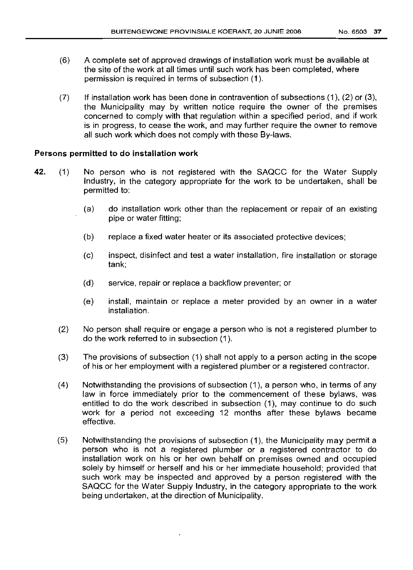- (6) A complete set of approved drawings of installation work must be available at the site of the work at all times until such work has been completed, where permission is required in terms of subsection (1).
- $(7)$  If installation work has been done in contravention of subsections  $(1)$ ,  $(2)$  or  $(3)$ , the Municipality may by written notice require the owner of the premises concerned to comply with that regulation within a specified period, and if work is in progress, to cease the work, and may further require the owner to remove all such work which does not comply with these By-laws.

# Persons permitted to do installation work

- 42. (1) No person who is not registered with the SAQCC for the Water Supply Industry, in the category appropriate for the work to be undertaken, shall be permitted to:
	- (a) do installation work other than the replacement or repair of an existing pipe or water fitting;
	- (b) replace a fixed water heater or its associated protective devices;
	- (c) inspect, disinfect and test a water installation, fire installation or storage tank;
	- (d) service, repair or replace a backflow preventer; or
	- (e) install, maintain or replace a meter provided by an owner in a water installation.
	- (2) No person shall require or engage a person who is not a registered plumber to do the work referred to in subsection (1).
	- (3) The provisions of subsection (1) shall not apply to a person acting in the scope of his or her employment with a registered plumber or a registered contractor.
	- (4) Notwithstanding the provisions of subsection (1), a person who, in terms of any law in force immediately prior to the commencement of these bylaws, was entitled to do the work described in subsection (1), may continue to do such work for a period not exceeding 12 months after these bylaws became effective.
	- (5) Notwithstanding the provisions of subsection (1), the Municipality may permit a person who is not a registered plumber or a registered contractor to do installation work on his or her own behalf on premises owned and occupied solely by himself or herself and his or her immediate household; provided that such work may be inspected and approved by a person registered with the SAQCC for the Water Supply Industry, in the category appropriate to the work being undertaken, at the direction of Municipality.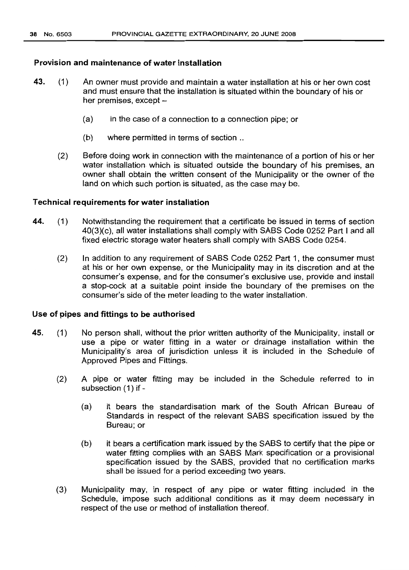## Provision and maintenance of water installation

- 43. (1) An owner must provide and maintain a water installation at his or her own cost and must ensure that the installation is situated within the boundary of his or her premises, except  $-$ 
	- (a) in the case of a connection to a connection pipe; or
	- (b) where permitted in terms of section ..
	- (2) Sefore doing work in connection with the maintenance of a portion of his or her water installation which is situated outside the boundary of his premises, an owner shall obtain the written consent of the Municipality or the owner of the land on which such portion is situated, as the case may be.

## Technical requirements for water installation

- 44. (1) Notwithstanding the requirement that a certificate be issued in terms of section 40(3)(c), all water installations shall comply with SASS Code 0252 Part I and all fixed electric storage water heaters shall comply with SABS Code 0254.
	- (2) In addition to any requirement of SASS Code 0252 Part 1, the consumer must at his or her own expense, or the Municipality may in its discretion and at the consumer's expense, and for the consumer's exclusive use, provide and install a stop-cock at a suitable point inside the boundary of the premises on the consumer's side of the meter leading to the water installation.

#### Use of pipes and fittings to be authorised

- 45. (1) No person shall, without the prior written authority of the Municipality, install or use a pipe or water fitting in a water or drainage installation within the Municipality's area of jurisdiction unless it is included in the Schedule of Approved Pipes and Fittings.
	- (2) A pipe or water fitting may be included in the Schedule referred to in subsection (1) if -
		- (a) it bears the standardisation mark of the South African Bureau of Standards in respect of the relevant SABS specification issued by the Bureau; or
		- (b) it bears a certification mark issued by the SASS to certify that the pipe or water fitting complies with an SABS Mark specification or a provisional specification issued by the SASS, provided that no certification marks shall be issued for a period exceeding two years.
	- (3) Municipality may, in respect of any pipe or water fitting included in the Schedule, impose such additional conditions as it may deem necessary in respect of the use or method of installation thereof.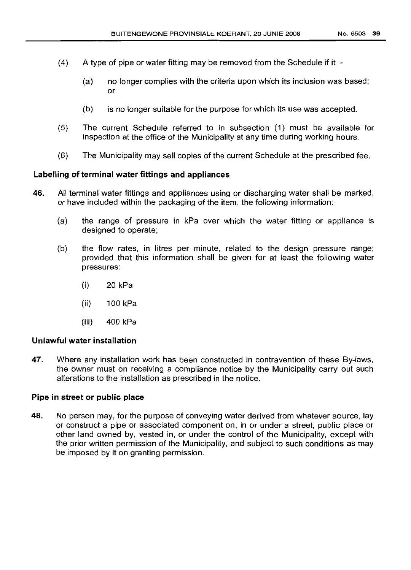- (4) A type of pipe or water fitting may be removed from the Schedule if it
	- (a) no longer complies with the criteria upon which its inclusion was based; or
	- (b) is no longer suitable for the purpose for which its use was accepted.
- (5) The current Schedule referred to in subsection (1) must be available for inspection at the office of the Municipality at any time during working hours.
- (6) The Municipality may sell copies of the current Schedule at the prescribed fee.

### **Labelling of terminal water fittings and appliances**

- **46.** All terminal water fittings and appliances using or discharging water shall be marked, or have included within the packaging of the item, the following information:
	- (a) the range of pressure in kPa over which the water fitting or appliance is designed to operate;
	- (b) the flow rates, in Iitres per minute, related to the design pressure range; provided that this information shall be given for at least the following water pressures:
		- (i) 20 kPa
		- (ii) 100 kPa
		- (iii) 400 kPa

### **Unlawful water installation**

**47.** Where any installation work has been constructed in contravention of these By-laws, the owner must on receiving a compliance notice by the Municipality carry out such alterations to the installation as prescribed in the notice.

### **Pipe in street or public place**

**48.** No person may, for the purpose of conveying water derived from whatever source, lay or construct a pipe or associated component on, in or under a street, public place or other land owned by, vested in, or under the control of the Municipality, except with the prior written permission of the Municipality, and subject to such conditions as may be imposed by it on granting permission.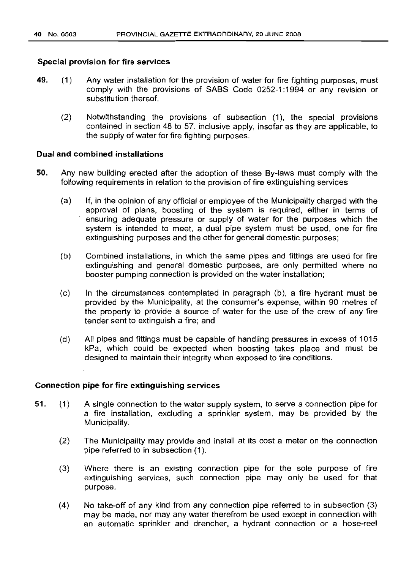## Special provision for fire services

- 49. (1) Any water installation for the provision of water for fire fighting purposes, must comply with the provisions of SABS Code 0252-1: 1994 or any revision or substitution thereof.
	- (2) Notwithstanding the provisions of subsection (1), the special provisions contained in section 48 to 57. inclusive apply, insofar as they are applicable, to the supply of water for fire fighting purposes.

## Dual and combined installations

- 50. Any new building erected after the adoption of these By-laws must comply with the following requirements in relation to the provision of fire extinguishing services
	- (a) If, in the opinion of any official or employee of the Municipality charged with the approval of plans, boosting of the system is required, either in terms of ensuring adequate pressure or supply of water for the purposes which the system is intended to meet, a dual pipe system must be used, one for fire extinguishing purposes and the other for general domestic purposes;
	- (b) Combined installations, in which the same pipes and fittings are used for fire extinguishing and general domestic purposes, are only permitted where no booster pumping connection is provided on the water installation;
	- (c) In the circumstances contemplated in paragraph (b), a fire hydrant must be provided by the Municipality, at the consumer's expense, within 90 metres of the property to provide a source of water for the use of the crew of any fire tender sent to extinguish a fire; and
	- (d) All pipes and fittings must be capable of handling pressures in excess of 1015 kPa, which could be expected when boosting takes place and must be designed to maintain their integrity when exposed to fire conditions.

## Connection pipe for fire extinguishing services

- 51. (1) A single connection to the water supply system, to serve a connection pipe for a fire installation, excluding a sprinkler system. may be provided by the Municipality.
	- (2) The Municipality may provide and install at its cost a meter on the connection pipe referred to in subsection (1).
	- (3) Where there is an existing connection pipe for the sole purpose of fire extinguishing services, such connection pipe may only be used for that purpose.
	- (4) No take-off of any kind from any connection pipe referred to in subsection (3) may be made, nor may any water therefrom be used except in connection with an automatic sprinkler and drencher, a hydrant connection or a hose-reel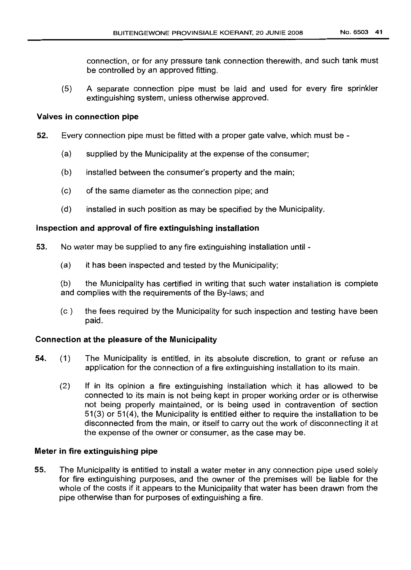connection, or for any pressure tank connection therewith, and such tank must be controlled by an approved fitting.

(5) A separate connection pipe must be laid and used for every fire sprinkler extinguishing system, unless otherwise approved.

# Valves in connection pipe

- 52. Every connection pipe must be fitted with a proper gate valve, which must be
	- (a) supplied by the Municipality at the expense of the consumer;
	- (b) installed between the consumer's property and the main;
	- (c) of the same diameter as the connection pipe; and
	- (d) installed in such position as may be specified by the Municipality.

# Inspection and approval of fire extinguishing installation

- 53. No water may be supplied to any fire extinguishing installation until
	- (a) it has been inspected and tested by the Municipality;

(b) the Municipality has certified in writing that such water installation is complete and complies with the requirements of the By-laws; and

(c) the fees required by the Municipality for such inspection and testing have been paid.

# Connection at the pleasure of the Municipality

- 54. (1) The Municipality is entitled, in its absolute discretion, to grant or refuse an application for the connection of a fire extinguishing installation to its main.
	- (2) If in its opinion a fire extinguishing installation which it has allowed to be connected to its main is not being kept in proper working order or is otherwise not being properly maintained, or is being used in contravention of section 51(3) or 51(4), the Municipality is entitled either to require the installation to be disconnected from the main, or itself to carry out the work of disconnecting it at the expense of the owner or consumer, as the case may be.

# Meter in fire extinguishing pipe

55. The Municipality is entitled to install a water meter in any connection pipe used solely for fire extinguishing purposes, and the owner of the premises will be liable for the whole of the costs if it appears to the Municipality that water has been drawn from the pipe otherwise than for purposes of extinguishing a fire.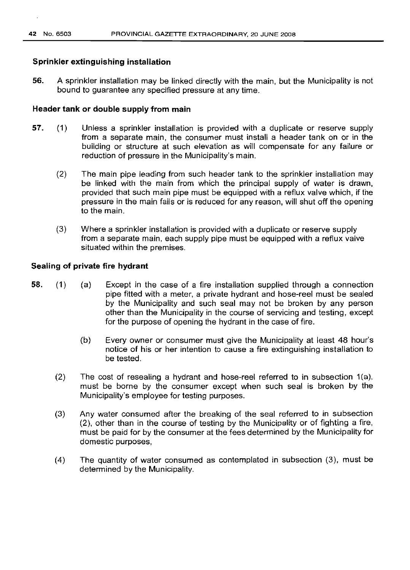## **Sprinkler extinguishing installation**

**56.** A sprinkler installation may be linked directly with the main, but the Municipality is not bound to guarantee any specified pressure at any time.

### **Header tank or double supply from main**

- **57.** (1) Unless a sprinkler installation is provided with a duplicate or reserve supply from a separate main, the consumer must install a header tank on or in the building or structure at such elevation as will compensate for any failure or reduction of pressure in the Municipality's main.
	- (2) The main pipe leading from such header tank to the sprinkler installation may be linked with the main from which the principal supply of water is drawn, provided that such main pipe must be equipped with a reflux valve which, if the pressure in the main fails or is reduced for any reason, will shut off the opening to the main.
	- (3) Where a sprinkler installation is provided with a duplicate or reserve supply from a separate main, each supply pipe must be equipped with a reflux valve situated within the premises.

#### **Sealing of private fire hydrant**

- **58.** (1) (a) Except in the case of a fire installation supplied through a connection pipe fitted with a meter, a private hydrant and hose-reel must be sealed by the Municipality and such seal may not be broken by any person other than the Municipality in the course of servicing and testing, except for the purpose of opening the hydrant in the case of fire.
	- (b) Every owner or consumer must give the Municipality at least 48 hour's notice of his or her intention to cause a fire extinguishing installation to be tested.
	- (2) The cost of resealing a hydrant and hose-reel referred to in subsection 1(a), must be borne by the consumer except when such seal is broken by the Municipality's employee for testing purposes.
	- (3) Any water consumed after the breaking of the seal referred to in subsection (2), other than in the course of testing by the Municipality or of fighting a fire, must be paid for by the consumer at the fees determined by the Municipality for domestic purposes,
	- (4) The quantity of water consumed as contemplated in subsection (3), must be determined by the Municipality.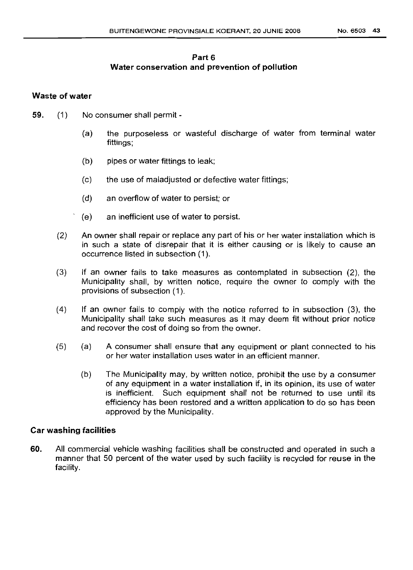# Part 6 Water conservation and prevention of pollution

## Waste of water

- 59. (1) No consumer shall permit
	- (a) the purposeless or wasteful discharge of water from terminal water fittings;
	- (b) pipes or water fittings to leak;
	- (c) the use of maladjusted or defective water fittings;
	- (d) an overflow of water to persist; or
	- (e) an inefficient use of water to persist.
	- (2) An owner shall repair or replace any part of his or her water installation which is in such a state of disrepair that it is either causing or is likely to cause an occurrence listed in subsection (1).
	- (3) If an owner fails to take measures as contemplated in subsection (2), the Municipality shall, by written notice, require the owner to comply with the provisions of subsection (1).
	- (4) If an owner fails to comply with the notice referred to in subsection (3), the Municipality shall take such measures as it may deem fit without prior notice and recover the cost of doing so from the owner.
	- (5) (a) A consumer shall ensure that any equipment or plant connected to his or her water installation uses water in an efficient manner.
		- (b) The Municipality may, by written notice, prohibit the use by a consumer of any equipment in a water installation if, in its opinion, its use of water is inefficient. Such equipment shall not be returned to use until its efficiency has been restored and a written application to do so has been approved by the Municipality.

### Car washing facilities

60. All commercial vehicle washing facilities shall be constructed and operated in such a manner that 50 percent of the water used by such facility is recycled for reuse in the facility.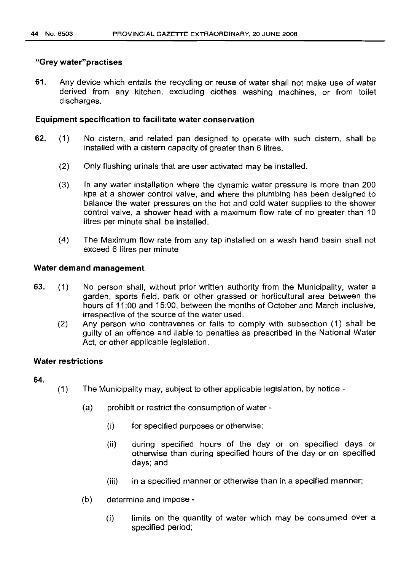## "Grey water"practises

61. Any device which entails the recycling or reuse of water shall not make use of water derived from any kitchen, excluding clothes washing machines, or from toilet discharges.

## Equipment specification to facilitate water conservation

- 62. (1) No cistern, and related pan designed to operate with such cistern, shall be installed with a cistern capacity of greater than 6 litres.
	- (2) Only flushing urinals that are user activated may be installed.
	- (3) In any water installation where the dynamic water pressure is more than 200 kpa at a shower control valve, and where the plumbing has been designed to balance the water pressures on the hot and cold water supplies to the shower control valve, a shower head with a maximum flow rate of no greater than 10 litres per minute shall be installed.
	- (4) The Maximum flow rate from any tap installed on a wash hand basin shall not exceed 6 Iitres per minute

## Water demand management

- 63. (1) No person shall, without prior written authority from the Municipality, water a garden, sports field, park or other grassed or horticultural area between the hours of 11:00 and 15:00, between the months of October and March inclusive, irrespective of the source of the water used.
	- (2) Any person who contravenes or fails to comply with subsection (1) shall be guilty of an offence and liable to penalties as prescribed in the National Water Act, or other applicable legislation.

### Water restrictions

### 64.

- (1) The Municipality may, subject to other applicable legislation, by notice
	- $(a)$  prohibit or restrict the consumption of water -
		- (i) for specified purposes or otherwise;
		- (ii) during specified hours of the day or on specified days or otherwise than during specified hours of the day or on specified days; and
		- (iii) in a specified manner or otherwise than in a specified manner;
	- (b) determine and impose
		- (i) limits on the quantity of water which may be consumed over a specified period;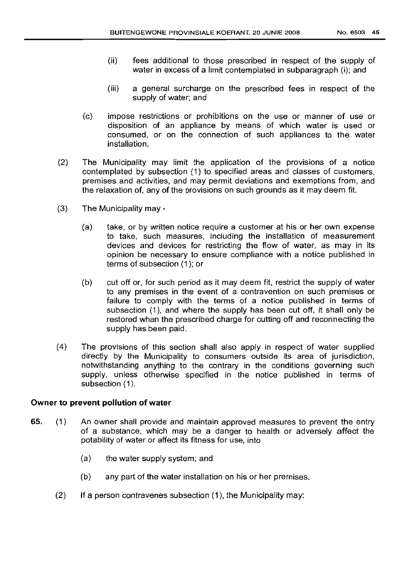- (ii) fees additional to those prescribed in respect of the supply of water in excess of a limit contemplated in subparaqraph (i); and
- (iii) a general surcharge on the prescribed fees in respect of the supply of water; and
- (c) impose restrictions or prohibitions on the use or manner of use or disposition of an appliance by means of which water is used or consumed, or on the connection of such appliances to the water installation.
- (2) The Municipality may limit the application of the provrsions of a notice contemplated by subsection (1) to specified areas and classes of customers, premises and activities, and may permit deviations and exemptions from, and the relaxation of, any of the provisions on such grounds as it may deem fit.
- (3) The Municipality may
	- (a) take, or by written notice require a customer at his or her own expense to take, such measures, including the installation of measurement devices and devices for restricting the flow of water, as may in its opinion be necessary to ensure compliance with a notice published in terms of subsection (1); or
	- (b) cut off or, for such period as it may deem fit, restrict the supply of water to any premises in the event of a contravention on such premises or failure to comply with the terms of a notice published in terms of subsection (1), and where the supply has been cut off, it shall only be restored when the prescribed charge for cutting off and reconnecting the supply has been paid.
- (4) The provisions of this section shall also apply in respect of water supplied directly by the Municipality to consumers outside its area of jurisdiction, notwithstanding anything to the contrary in the conditions governing such supply, unless otherwise specified in the notice published in terms of subsection (1).

# **Owner to prevent pollution of water**

- 65. (1) An owner shall provide and maintain approved measures to prevent the entry of a substance, which may be a danger to health or adversely affect the potability of water or affect its fitness for use, into
	- (a) the water supply system; and
	- (b) any part of the water installation on his or her premises.
	- (2) If a person contravenes subsection (1), the Municipality may: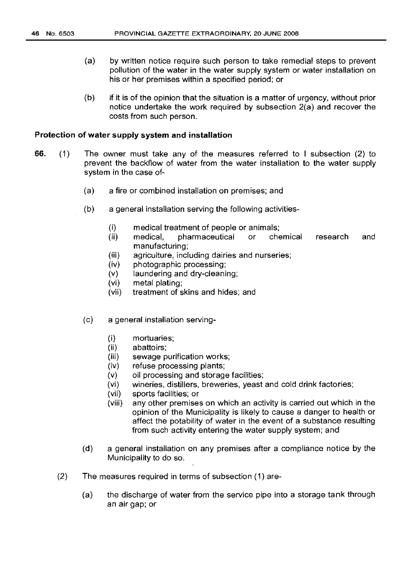- (a) by written notice require such person to take remedial steps to prevent pollution of the water in the water supply system or water installation on his or her premises within a specified period; or
- (b) if it is of the opinion that the situation is a matter of urgency, without prior notice undertake the work required by subsection 2(a) and recover the costs from such person.

#### **Protection of water supply system and installation**

- 66. (1) The owner must take any of the measures referred to I subsection (2) to prevent the backflow of water from the water installation to the water supply system in the case of-
	- (a) a fire or combined installation on premises; and
	- (b) a general installation serving the following activities-
		- (i) medical treatment of people or animals;
		- (ii) medical, pharmaceutical or chemical manufacturing; research and
		- (iii) agriculture, including dairies and nurseries;
		- (iv) photographic processing;
		- (v) laundering and dry-cleaning;
		- (vi) metal plating;
		- (vii) treatment of skins and hides; and
	- (c) a general installation serving-
		- (i) mortuaries;
		- (ii) abattoirs;
		- (iii) sewage purification works;
		- (iv) refuse processing plants;
		- (v) oil processing and storage facilities;
		- (vi) wineries, distillers, breweries, yeast and cold drink factories;
		- (vii) sports facilities; or
		- (viii) any other premises on which an activity is carried out which in the opinion of the Municipality is likely to cause a danger to health or affect the potability of water in the event of a substance resulting from such activity entering the water supply system; and
	- (d) a general installation on any premises after a compliance notice by the Municipality to do so.
	- (2) The measures required in terms of subsection (1) are-
		- (a) the discharge of water from the service pipe into a storage tank through an air gap; or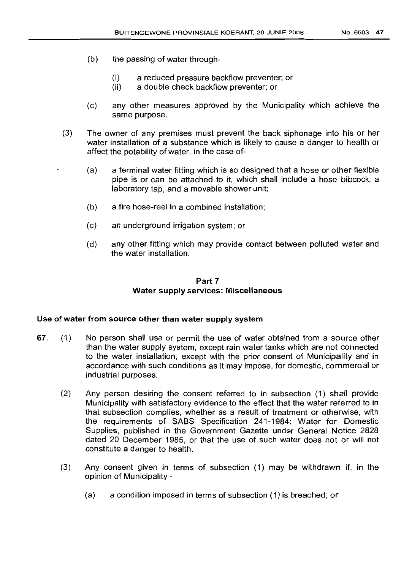- (b) the passing of water through-
	- (i) a reduced pressure backflow preventer; or
	- (ii) a double check backflow preventer; or
- (c) any other measures approved by the Municipality which achieve the same purpose.
- (3) The owner of any premises must prevent the back siphonage into his or her water installation of a substance which is likely to cause a danger to health or affect the potability of water, in the case of-
	- (a) a terminal water fitting which is so designed that a hose or other flexible pipe is or can be attached to it, which shall include a hose bibcock, a laboratory tap, and a movable shower unit;
	- (b) a fire hose-reel in a combined installation;
	- (c) an underground irrigation system; or
	- (d) any other fitting which may provide contact between polluted water and the water installation.

# Part 7 Water supply services: Miscellaneous

#### Use of water from source other than water supply system

- 67. (1) No person shall use or permit the use of water obtained from a source other than the water supply system, except rain water tanks which are not connected to the water installation, except with the prior consent of Municipality and in accordance with such conditions as it may impose, for domestic, commercial or industrial purposes.
	- (2) Any person desiring the consent referred to in subsection (1) shall provide Municipality with satisfactory evidence to the effect that the water referred to in that subsection complies, whether as a result of treatment or otherwise, with the requirements of SASS Specification 241-1984: Water for Domestic Supplies, published in the Government Gazette under General Notice 2828 dated 20 December 1985, or that the use of such water does not or will not constitute a danger to health.
	- (3) Any consent given in terms of subsection (1) may be withdrawn if, in the opinion of Municipality -
		- (a) a condition imposed in terms of subsection (1) is breached; or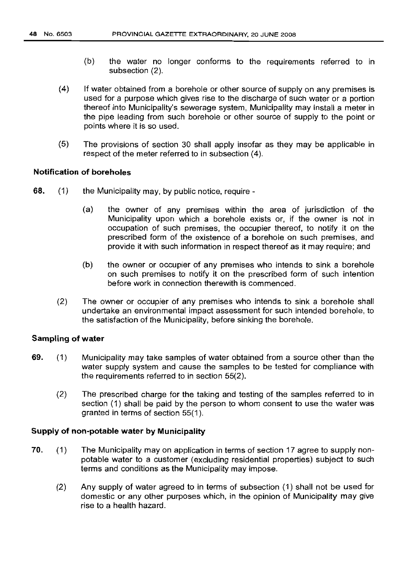- (b) the water no longer conforms to the requirements referred to in subsection (2).
- (4) If water obtained from a borehole or other source of supply on any premises is used for a purpose which gives rise to the discharge of such water or a portion thereof into Municipality's sewerage system, Municipality may install a meter in the pipe leading from such borehole or other source of supply to the point or points where it is so used.
- (5) The provisions of section 30 shall apply insofar as they may be applicable in respect of the meter referred to in subsection (4).

# **Notification of boreholes**

- 68. (1) the Municipality may, by public notice, require
	- (a) the owner of any premises within the area of jurisdiction of the Municipality upon which a borehole exists or, if the owner is not in occupation of such premises, the occupier thereof, to notify it on the prescribed form of the existence of a borehole on such premises, and provide it with such information in respect thereof as it may require; and
	- (b) the owner or occupier of any premises who intends to sink a borehole on such premises to notify it on the prescribed form of such intention before work in connection therewith is commenced.
	- (2) The owner or occupier of any premises who intends to sink a borehole shall undertake an environmental impact assessment for such intended borehole, to the satisfaction of the Municipality, before sinking the borehole.

# **Sampling of water**

- 69. (1) Municipality may take samples of water obtained from a source other than the water supply system and cause the samples to be tested for compliance with the requirements referred to in section 55(2).
	- (2) The prescribed charge for the taking and testing of the samples referred to in section (1) shall be paid by the person to whom consent to use the water was granted in terms of section 55(1).

### **Supply of non-potable water by Municipality**

- 70. (1) The Municipality may on application in terms of section 17 agree to supply nonpotable water to a customer (excluding residential properties) subject to such terms and conditions as the Municipality may impose.
	- (2) Any supply of water agreed to in terms of subsection (1) shall not be used for domestic or any other purposes which, in the opinion of Municipality may give rise to a health hazard.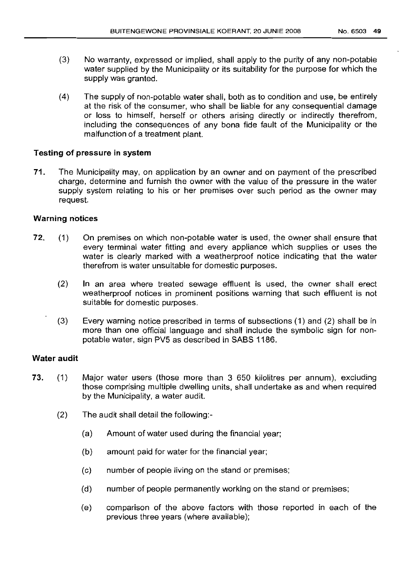- (3) No warranty, expressed or implied, shall apply to the purity of any non-potable water supplied by the Municipality or its suitability for the purpose for which the supply was granted.
- (4) The supply of non-potable water shall, both as to condition and use, be entirely at the risk of the consumer, who shall be liable for any consequential damage or loss to himself, herself or others arising directly or indirectly therefrom, including the consequences of any bona fide fault of the Municipality or the malfunction of a treatment plant.

# Testing of pressure in system

71. The Municipality may, on application by an owner and on payment of the prescribed charge, determine and furnish the owner with the value of the pressure in the water supply system relating to his or her premises over such period as the owner may request.

# Warning notices

- 72. (1) On premises on which non-potable water is used, the owner shall ensure that every terminal water fitting and every appliance which supplies or uses the water is clearly marked with a weatherproof notice indicating that the water therefrom is water unsuitable for domestic purposes.
	- (2) In an area where treated sewage effluent is used, the owner shall erect weatherproof notices in prominent positions warning that such effluent is not suitable for domestic purposes.
	- (3) Every warning notice prescribed in terms of subsections (1) and (2) shall be in more than one official language and shall include the symbolic sign for nonpotable water, sign PV5 as described in SABS 1186.

# Water audit

- 73. (1) Major water users (those more than 3 650 kilolitres per annum), excluding those comprising multiple dwelling units, shall undertake as and when required by the Municipality, a water audit.
	- (2) The audit shall detail the following:-
		- (a) Amount of water used during the financial year;
		- (b) amount paid for water for the financial year;
		- (c) number of people living on the stand or premises;
		- (d) number of people permanently working on the stand or premises;
		- (e) comparison of the above factors with those reported in each of the previous three years (where available);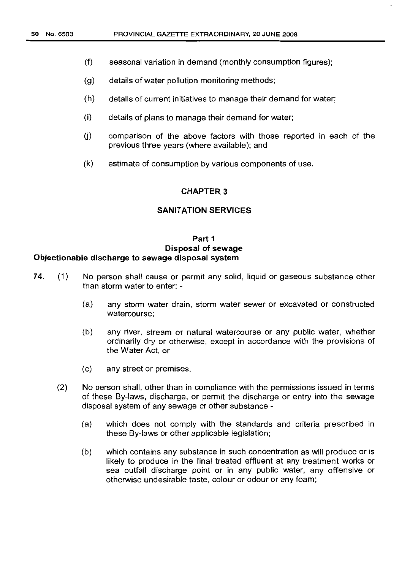- (f) seasonal variation in demand (monthly consumption figures);
- (g) details of water pollution monitoring methods;
- (h) details of current initiatives to manage their demand for water;
- (i) details of plans to manage their demand for water;
- $(i)$ comparison of the above factors with those reported in each of the previous three years (where available); and
- (k) estimate of consumption by various components of use.

# **CHAPTER 3**

#### **SANITATION SERVICES**

# **Part 1 Disposal of sewage Objectionable discharge to sewage disposal system**

- 74. (1) No person shall cause or permit any solid, liquid or gaseous substance other than storm water to enter: -
	- (a) any storm water drain, storm water sewer or excavated or constructed watercourse;
	- (b) any river, stream or natural watercourse or any public water, whether ordinarily dry or otherwise, except in accordance with the provisions of the Water Act, or
	- (c) any street or premises.
	- (2) No person shall, other than in compliance with the permissions issued in terms of these By-laws, discharge, or permit the discharge or entry into the sewage disposal system of any sewage or other substance -
		- (a) which does not comply with the standards and criteria prescribed in these By-laws or other applicable legislation;
		- (b) which contains any substance in such concentration as will produce or is likely to produce in the final treated effluent at any treatment works or sea outfall discharge point or in any public water, any offensive or otherwise undesirable taste, colour or odour or any foam;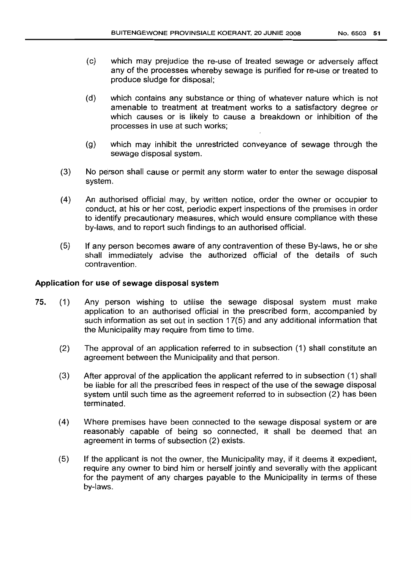- (c) which may prejudice the re-use of treated sewage or adversely affect any of the processes whereby sewage is purified for re-use or treated to produce sludge for disposal;
- (d) which contains any substance or thing of whatever nature which is not amenable to treatment at treatment works to a satisfactory degree or which causes or is likely to cause a breakdown or inhibition of the processes in use at such works;
- (g) which may inhibit the unrestricted conveyance of sewage through the sewage disposal system.
- (3) No person shall cause or permit any storm water to enter the sewage disposal system.
- (4) An authorised official may, by written notice, order the owner or occupier to conduct, at his or her cost, periodic expert inspections of the premises in order to identify precautionary measures, which would ensure compliance with these by-laws, and to report such findings to an authorised official.
- (5) If any person becomes aware of any contravention of these By-laws, he or she shall immediately advise the authorized official of the details of such contravention.

# Application for use of sewage disposal system

- 75. (1) Any person wishing to utilise the sewage disposal system must make application to an authorised official in the prescribed form, accompanied by such information as set out in section 17(5) and any additional information that the Municipality may require from time to time.
	- (2) The approval of an application referred to in subsection (1) shall constitute an agreement between the Municipality and that person.
	- (3) After approval of the application the applicant referred to in subsection (1) shall be liable for all the prescribed fees in respect of the use of the sewage disposal system until such time as the agreement referred to in subsection (2) has been terminated.
	- (4) Where premises have been connected to the sewage disposal system or are reasonably capable of being so connected, it shall be deemed that an agreement in terms of subsection (2) exists.
	- (5) If the applicant is not the owner, the Municipality may, if it deems it expedient, require any owner to bind him or herself jointly and severally with the applicant for the payment of any charges payable to the Municipality in terms of these by-laws.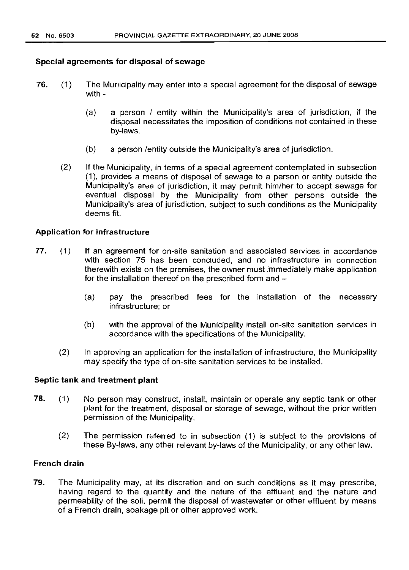# Special agreements for disposal of sewage

- 76. (1) The Municipality may enter into a special agreement for the disposal of sewage with -
	- (a) a person / entity within the Municipality's area of jurisdiction, if the disposal necessitates the imposition of conditions not contained in these by-laws.
	- (b) a person /entity outside the Municipality's area of jurisdiction.
	- (2) If the Municipality, in terms of a special agreement contemplated in subsection (1), provides a means of disposal of sewage to a person or entity outside the Municipality's area of jurisdiction, it may permit him/her to accept sewage for eventual disposal by the Municipality from other persons outside the Municipality's area of jurisdiction, subject to such conditions as the Municipality deems fit.

## Application for infrastructure

- 77. (1) If an agreement for on-site sanitation and associated services in accordance with section 75 has been concluded, and no infrastructure in connection therewith exists on the premises, the owner must immediately make application for the installation thereof on the prescribed form and -
	- (a) pay the prescribed fees for the installation of the necessary infrastructure; or
	- (b) with the approval of the Municipality install on-site sanitation services in accordance with the specifications of the Municipality.
	- (2) In approving an application for the installation of infrastructure, the Municipality may specify the type of on-site sanitation services to be installed.

### Septic tank and treatment plant

- 78. (1) No person may construct, install, maintain or operate any septic tank or other plant for the treatment, disposal or storage of sewage, without the prior written permission of the Municipality.
	- (2) The permission referred to in subsection (1) is subject to the provisions of these By-laws, any other relevant by-laws of the Municipality, or any other law.

# French drain

79. The Municipality may, at its discretion and on such conditions as it may prescribe, having regard to the quantity and the nature of the effluent and the nature and permeability of the soil, permit the disposal of wastewater or other effluent by means of a French drain, soakage pit or other approved work.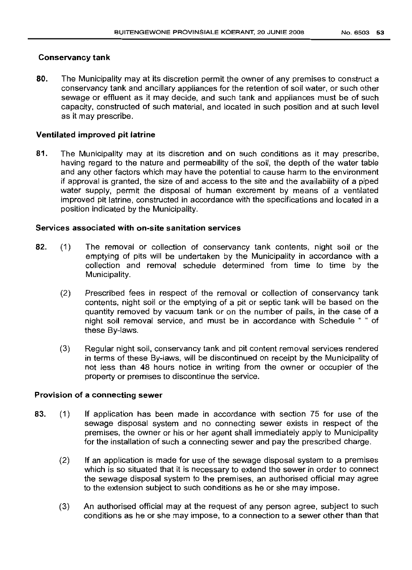## Conservancy tank

80. The Municipality may at its discretion permit the owner of any premises to construct a conservancy tank and ancillary appliances for the retention of soil water, or such other sewage or effluent as it may decide, and such tank and appliances must be of such capacity, constructed of such material, and located in such position and at such level as it may prescribe.

## Ventilated improved pit latrine

81. The Municipality may at its discretion and on such conditions as it may prescribe, having regard to the nature and permeability of the soil, the depth of the water table and any other factors which may have the potential to cause harm to the environment if approval is granted, the size of and access to the site and the availability of a piped water supply, permit the disposal of human excrement by means of a ventilated improved pit latrine, constructed in accordance with the specifications and located in a position indicated by the Municipality.

## Services associated with on-site sanitation services

- 82. (1) The removal or collection of conservancy tank contents, night soil or the emptying of pits will be undertaken by the Municipality in accordance with a collection and removal schedule determined from time to time by the Municipality.
	- (2) Prescribed fees in respect of the removal or collection of conservancy tank contents, night soil or the emptying of a pit or septic tank will be based on the quantity removed by vacuum tank or on the number of pails, in the case of a night soil removal service, and must be in accordance with Schedule " " of these By-laws.
	- (3) Regular night soil, conservancy tank and pit content removal services rendered in terms of these By-laws, will be discontinued on receipt by the Municipality of not less than 48 hours notice in writing from the owner or occupier of the property or premises to discontinue the service.

#### Provision of a connecting sewer

- 83. (1) If application has been made in accordance with section 75 for use of the sewage disposal system and no connecting sewer exists in respect of the premises, the owner or his or her agent shall immediately apply to Municipality for the installation of such a connecting sewer and pay the prescribed charge.
	- (2) If an application is made for use of the sewage disposal system to a premises which is so situated that it is necessary to extend the sewer in order to connect the sewage disposal system to the premises, an authorised official may agree to the extension subject to such conditions as he or she may impose.
	- (3) An authorised official may at the request of any person agree, subject to such conditions as he or she may impose, to a connection to a sewer other than that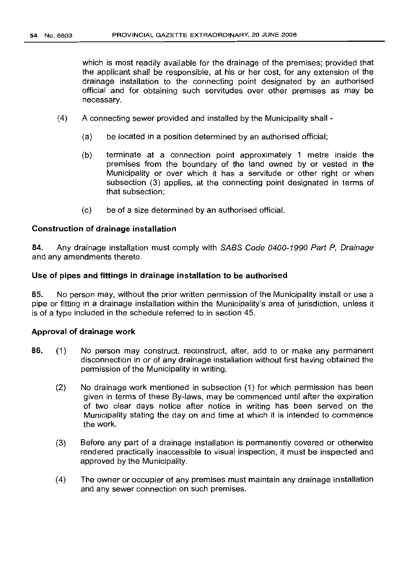which is most readily available for the drainage of the premises; provided that the applicant shall be responsible, at his or her cost, for any extension of the drainage installation to the connecting point designated by an authorised official and for obtaining such servitudes over other premises as may be necessary.

- (4) A connecting sewer provided and installed by the Municipality shall
	- (a) be located in a position determined by an authorised official;
	- (b) terminate at a connection point approximately 1 metre inside the premises from the boundary of the land owned by or vested in the Municipality or over which it has a servitude or other right or when subsection (3) applies, at the connecting point designated in terms of that subsection;
	- (c) be of a size determined by an authorised official.

## Construction of drainage installation

84. Any drainage installation must comply with SABS Code 0400-1990 Part P, Drainage and any amendments thereto.

## Use of pipes and fittings in drainage installation to be authorised

85. No person may, without the prior written permission of the Municipality install or use a pipe or fitting in a drainage installation within the Municipality's area of jurisdiction, unless it is of a type included in the schedule referred to in section 45.

### Approval of drainage work

- 86. (1) No person may construct, reconstruct, alter, add to or make any permanent disconnection in or of any drainage installation without first having obtained the permission of the Municipality in writing.
	- (2) No drainage work mentioned in subsection (1) for which permission has been given in terms of these By-laws, may be commenced until after the expiration of two clear days notice after notice in writing has been served on the Municipality stating the day on and time at which it is intended to commence the work.
	- (3) Before any part of a drainage installation is permanently covered or otherwise rendered practically inaccessible to visual inspection, it must be inspected and approved by the Municipality.
	- (4) The owner or occupier of any premises must maintain any drainage installation and any sewer connection on such premises.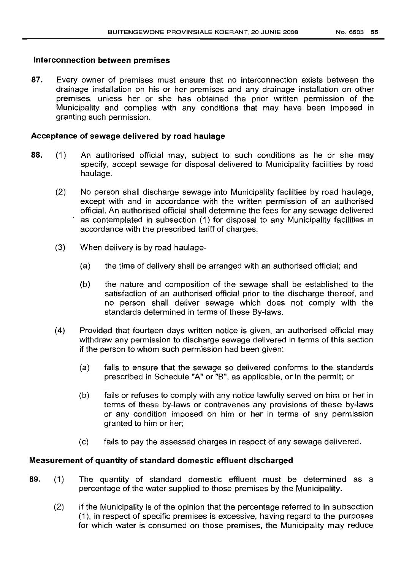## Interconnection between premises

87. Every owner of premises must ensure that no interconnection exists between the drainage installation on his or her premises and any drainage installation on other premises, unless her or she has obtained the prior written permission of the Municipality and complies with any conditions that may have been imposed in granting such permission.

# Acceptance of sewage delivered by road haulage

- 88. (1) An authorised official may, subject to such conditions as he or she may specify, accept sewage for disposal delivered to Municipality facilities by road haulage.
	- (2) No person shall discharge sewage into Municipality facilities by road haulage, except with and in accordance with the written permission of an authorised official. An authorised official shall determine the fees for any sewage delivered as contemplated in subsection (1) for disposal to any Municipality facilities in accordance with the prescribed tariff of charges.
	- (3) When delivery is by road haulage-
		- (a) the time of delivery shall be arranged with an authorised official; and
		- (b) the nature and composition of the sewage shall be established to the satisfaction of an authorised official prior to the discharge thereof, and no person shall deliver sewage which does not comply with the standards determined in terms of these By-laws.
	- (4) Provided that fourteen days written notice is given, an authorised official may withdraw any permission to discharge sewage delivered in terms of this section if the person to whom such permission had been given:
		- (a) fails to ensure that the sewage so delivered conforms to the standards prescribed in Schedule "A" or "B", as applicable, or in the permit; or
		- (b) fails or refuses to comply with any notice lawfully served on him or her in terms of these by-laws or contravenes any provisions of these by-laws or any condition imposed on him or her in terms of any permission granted to him or her;
		- (c) fails to pay the assessed charges in respect of any sewage delivered.

# Measurement of quantity of standard domestic effluent discharged

- 89. (1) The quantity of standard domestic effluent must be determined as a percentage of the water supplied to those premises by the Municipality.
	- (2) If the Municipality is of the opinion that the percentage referred to in subsection (1), in respect of specific premises is excessive, having regard to the purposes for which water is consumed on those premises, the Municipality may reduce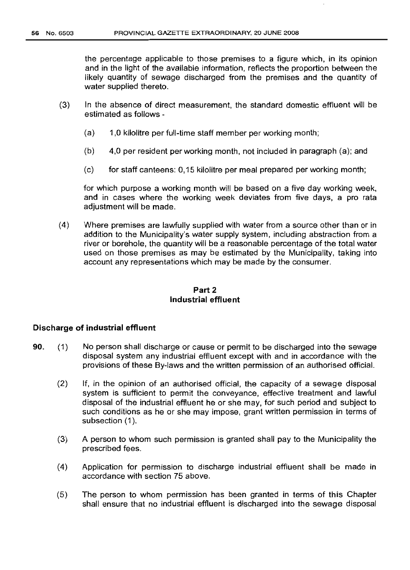the percentage applicable to those premises to a figure which, in its opinion and in the light of the available information, reflects the proportion between the likely quantity of sewage discharged from the premises and the quantity of water supplied thereto.

- (3) In the absence of direct measurement, the standard domestic effluent will be estimated as follows -
	- (a) 1,0 kilolitre per full-time staff member per working month;
	- (b) 4,0 per resident per working month, not included in paragraph (a); and
	- (c) for staff canteens: 0,15 kilolitre per meal prepared per working month;

for which purpose a working month will be based on a five day working week, and in cases where the working week deviates from five days, a pro rata adjustment will be made.

(4) Where premises are lawfully supplied with water from a source other than or in addition to the Municipality's water supply system, including abstraction from a river or borehole, the quantity will be a reasonable percentage of the total water used on those premises as may be estimated by the Municipality, taking into account any representations which may be made by the consumer.

# Part 2 Industrial effluent

#### Discharge of industrial effluent

- 90. (1) No person shall discharge or cause or permit to be discharged into the sewage disposal system any industrial effluent except with and in accordance with the provisions of these By-laws and the written permission of an authorised official.
	- (2) If, in the opinion of an authorised official, the capacity of a sewage disposal system is sufficient to permit the conveyance, effective treatment and lawful disposal of the industrial effluent he or she may, for such period and subject to such conditions as he or she may impose, grant written permission in terms of subsection (1).
	- (3) A person to whom such permission is granted shall pay to the Municipality the prescribed fees.
	- (4) Application for permission to discharge industrial effluent shall be made in accordance with section 75 above.
	- (5) The person to whom permission has been granted in terms of this Chapter shall ensure that no industrial effluent is discharged into the sewage disposal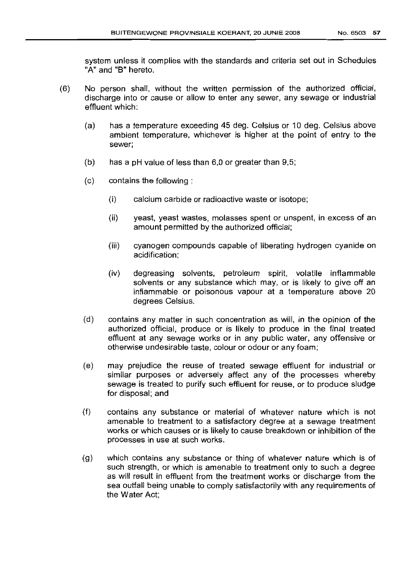system unless it complies with the standards and criteria set out in Schedules "A" and "B" hereto.

- (6) No person shall, without the written permission of the authorized official, discharge into or cause or allow to enter any sewer, any sewage or industrial effluent which:
	- (a) has a temperature exceeding 45 deg. Celsius or 10 deg. Celsius above ambient temperature, whichever is higher at the point of entry to the sewer;
	- (b) has a pH value of less than 6,0 or greater than 9,5;
	- (c) contains the following:
		- (i) calcium carbide or radioactive waste or isotope;
		- (ii) yeast, yeast wastes, molasses spent or unspent, in excess of an amount permitted by the authorized official;
		- (iii) cyanogen compounds capable of liberating hydrogen cyanide on acidification;
		- (iv) degreasing solvents, petroleum spirit, volatile inflammable solvents or any substance which may, or is likely to give off an inflammable or poisonous vapour at a temperature above 20 degrees Celsius.
	- (d) contains any matter in such concentration as will, in the opinion of the authorized official, produce or is likely to produce in the final treated effluent at any sewage works or in any public water, any offensive or otherwise undesirable taste, colour or odour or any foam;
	- (e) may prejudice the reuse of treated sewage effluent for industrial or similar purposes or adversely affect any of the processes whereby sewage is treated to purify such effluent for reuse, or to produce sludge for disposal; and
	- (f) contains any substance or material of whatever nature which is not amenable to treatment to a satisfactory degree at a sewage treatment works or which causes or is likely to cause breakdown or inhibition of the processes in use at such works.
	- (g) which contains any substance or thing of whatever nature which is of such strength, or which is amenable to treatment only to such a degree as will result in effluent from the treatment works or discharge from the sea outfall being unable to comply satisfactorily with any requirements of the Water Act;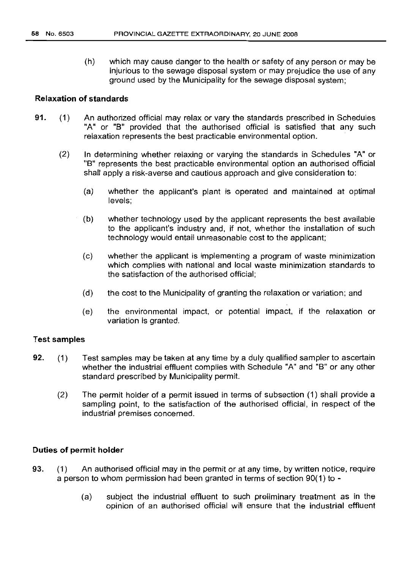(h) which may cause danger to the health or safety of any person or may be injurious to the sewage disposal system or may prejudice the use of any ground used by the Municipality for the sewage disposal system;

## **Relaxation of standards**

- 91. (1) An authorized official may relax or vary the standards prescribed in Schedules "A" or "B" provided that the authorised official is satisfied that any such relaxation represents the best practicable environmental option.
	- (2) In determining whether relaxing or varying the standards in Schedules "A" or "B" represents the best practicable environmental option an authorised official shall apply a risk-averse and cautious approach and give consideration to:
		- (a) whether the applicant's plant is operated and maintained at optimal levels;
		- (b) whether technology used by the applicant represents the best available to the applicant's industry and, if not, whether the installation of such technology would entail unreasonable cost to the applicant;
		- (c) whether the applicant is implementing a program of waste minimization which complies with national and local waste minimization standards to the satisfaction of the authorised official;
		- (d) the cost to the Municipality of granting the relaxation or variation; and
		- (e) the environmental impact, or potential impact, if the relaxation or variation is granted.

#### Test **samples**

- 92. (1) Test samples may be taken at any time by a duly qualified sampler to ascertain whether the industrial effluent complies with Schedule "A" and "B" or any other standard prescribed by Municipality permit.
	- (2) The permit holder of a permit issued in terms of subsection (1) shall provide a sampling point, to the satisfaction of the authorised official, in respect of the industrial premises concerned.

# **Duties of permit holder**

- 93. (1) An authorised official may in the permit or at any time, by written notice, require a person to whom permission had been granted in terms of section 90(1) to -
	- (a) subject the industrial effluent to such preliminary treatment as in the opinion of an authorised official will ensure that the industrial effluent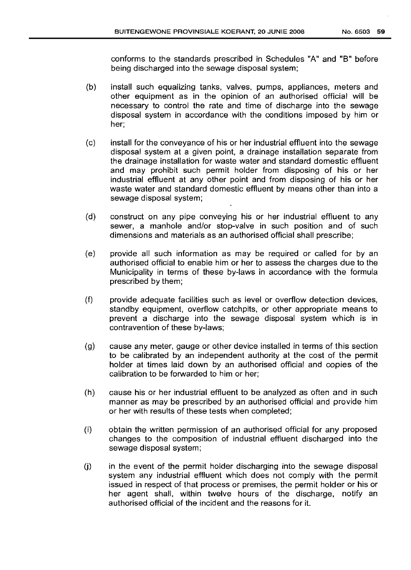conforms to the standards prescribed in Schedules "A" and "8" before being discharged into the sewage disposal system;

- (b) install such equalizing tanks, valves, pumps, appliances, meters and other equipment as in the opinion of an authorised official will be necessary to control the rate and time of discharge into the sewage disposal system in accordance with the conditions imposed by him or her;
- (c) install for the conveyance of his or her industrial effluent into the sewage disposal system at a given point, a drainage installation separate from the drainage installation for waste water and standard domestic effluent and may prohibit such permit holder from disposing of his or her industrial effluent at any other point and from disposing of his or her waste water and standard domestic effluent by means other than into a sewage disposal system;
- (d) construct on any pipe conveying his or her industrial effluent to any sewer, a manhole and/or stop-valve in such position and of such dimensions and materials as an authorised official shall prescribe;
- (e) provide all such information as may be required or called for by an authorised official to enable him or her to assess the charges due to the Municipality in terms of these by-laws in accordance with the formula prescribed by them;
- (f) provide adequate facilities such as level or overflow detection devices, standby equipment, overflow catchpits, or other appropriate means to prevent a discharge into the sewage disposal system which is in contravention of these by-laws;
- (g) cause any meter, gauge or other device installed in terms of this section to be calibrated by an independent authority at the cost of the permit holder at times laid down by an authorised official and copies of the calibration to be forwarded to him or her;
- (h) cause his or her industrial effluent to be analyzed as often and in such manner as may be prescribed by an authorised official and provide him or her with results of these tests when completed;
- (i) obtain the written permission of an authorised official for any proposed changes to the composition of industrial effluent discharged into the sewage disposal system;
- $J$  in the event of the permit holder discharging into the sewage disposal system any industrial effluent which does not comply with the permit issued in respect of that process or premises, the permit holder or his or her agent shall, within twelve hours of the discharge, notify an authorised official of the incident and the reasons for it.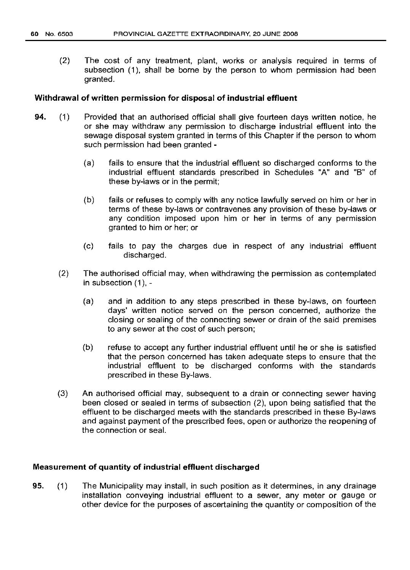(2) The cost of any treatment, plant, works or analysis required in terms of subsection (1), shall be borne by the person to whom permission had been granted.

### Withdrawal of written permission for disposal of industrial effluent

- 94. (1) Provided that an authorised official shall give fourteen days written notice, he or she may withdraw any permission to discharge industrial effluent into the sewage disposal system granted in terms of this Chapter if the person to whom such permission had been granted -
	- (a) fails to ensure that the industrial effluent so discharged conforms to the industrial effluent standards prescribed in Schedules "A" and "B" of these by-laws or in the permit;
	- (b) fails or refuses to comply with any notice lawfully served on him or her in terms of these by-laws or contravenes any provision of these by-laws or any condition imposed upon him or her in terms of any permission granted to him or her; or
	- (c) fails to pay the charges due in respect of any industrial effluent discharged.
	- (2) The authorised official may, when withdrawing the permission as contemplated in subsection (1), -
		- (a) and in addition to any steps prescribed in these by-laws, on fourteen days' written notice served on the person concerned, authorize the closing or sealing of the connecting sewer or drain of the said premises to any sewer at the cost of such person;
		- (b) refuse to accept any further industrial effluent until he or she is satisfied that the person concerned has taken adequate steps to ensure that the industrial effluent to be discharged conforms with the standards prescribed in these By-laws.
	- (3) An authorised official may, subsequent to a drain or connecting sewer having been closed or sealed in terms of subsection (2), upon being satisfied that the effluent to be discharged meets with the standards prescribed in these By-laws and against payment of the prescribed fees, open or authorize the reopening of the connection or seal.

#### Measurement of quantity of industrial effluent discharged

95. (1) The Municipality may install, in such position as it determines, in any drainage installation conveying industrial effluent to a sewer, any meter or gauge or other device for the purposes of ascertaining the quantity or composition of the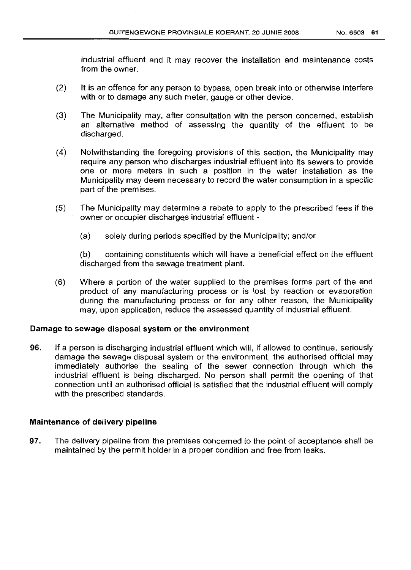industrial effluent and it may recover the installation and maintenance costs from the owner.

- (2) It is an offence for any person to bypass, open break into or otherwise interfere with or to damage any such meter, gauge or other device.
- (3) The Municipality may, after consultation with the person concerned, establish an alternative method of assessing the quantity of the effluent to be discharged.
- (4) Notwithstanding the foregoing provisions of this section, the Municipality may require any person who discharges industrial effluent into its sewers to provide one or more meters in such a position in the water installation as the Municipality may deem necessary to record the water consumption in a specific part of the premises.
- (5) The Municipality may determine a rebate to apply to the prescribed fees if the owner or occupier discharqes industrial effluent -
	- (a) solely during periods specified by the Municipality; and/or

(b) containing constituents which will have a beneficial effect on the effluent discharged from the sewage treatment plant.

(6) Where a portion of the water supplied to the premises forms part of the end product of any manufacturing process or is lost by reaction or evaporation during the manufacturing process or for any other reason, the Municipality may, upon application, reduce the assessed quantity of industrial effluent.

# Damage to sewage disposal system or the environment

96. If a person is discharging industrial effluent which will, if allowed to continue, seriously damage the sewage disposal system or the environment, the authorised official may immediately authorise the sealing of the sewer connection through which the industrial effluent is being discharged. No person shall permit the opening of that connection until an authorised official is satisfied that the industrial effluent will comply with the prescribed standards.

# Maintenance of delivery pipeline

97. The delivery pipeline from the premises concerned to the point of acceptance shall be maintained by the permit holder in a proper condition and free from leaks.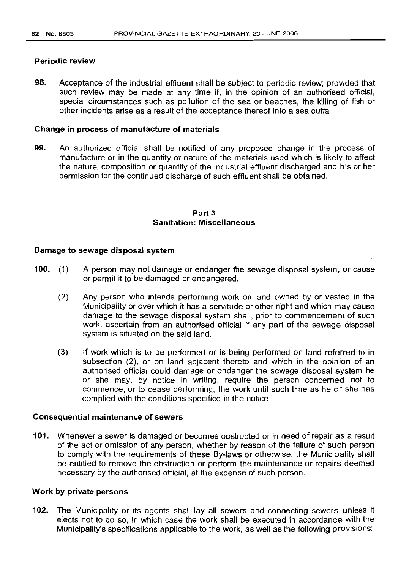#### Periodic review

98. Acceptance of the industrial effluent shall be subject to periodic review; provided that such review may be made at any time if, in the opinion of an authorised official, special circumstances such as pollution of the sea or beaches, the killing of fish or other incidents arise as a result of the acceptance thereof into a sea outfall.

## Change in process of manufacture of materials

99. An authorized official shall be notified of any proposed change in the process of manufacture or in the quantity or nature of the materials used which is likely to affect the nature, composition or quantity of the industrial effluent discharged and his or her permission for the continued discharge of such effluent shall be obtained.

# Part 3 Sanitation: Miscellaneous

### Damage to sewage disposal system

- 100. (1) A person may not damage or endanger the sewage disposal system, or cause or permit it to be damaged or endangered.
	- (2) Any person who intends performing work on land owned by or vested in the Municipality or over which it has a servitude or other right and which may cause damage to the sewage disposal system shall, prior to commencement of such work, ascertain from an authorised official if any part of the sewage disposal system is situated on the said land.
	- (3) If work which is to be performed or is being performed on land referred to in subsection (2), or on land adjacent thereto and which in the opinion of an authorised official could damage or endanger the sewage disposal system he or she may, by notice in writing, require the person concerned not to commence, or to cease performing, the work until such time as he or she has complied with the conditions specified in the notice.

#### Consequential maintenance of sewers

101. Whenever a sewer is damaged or becomes obstructed or in need of repair as a result of the act or omission of any person, whether by reason of the failure of such person to comply with the requirements of these By-laws or otherwise, the Municipality shall be entitled to remove the obstruction or perform the maintenance or repairs deemed necessary by the authorised official, at the expense of such person.

#### Work by private persons

102. The Municipality or its agents shall lay all sewers and connecting sewers unless it elects not to do so, in which case the work shall be executed in accordance with the Municipality's specifications applicable to the work, as well as the following provisions: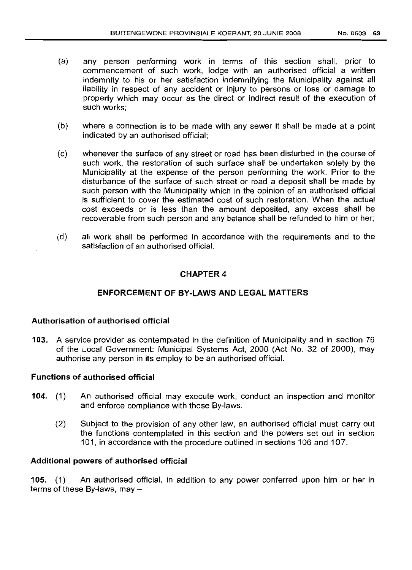- (a) any person performing work in terms of this section shall, prior to commencement of such work, lodge with an authorised official a written indemnity to his or her satisfaction indemnifying the Municipality against all liability in respect of any accident or injury to persons or loss or damage to property which may occur as the direct or indirect result of the execution of such works;
- (b) where a connection is to be made with any sewer it shall be made at a point indicated by an authorised official;
- (c) whenever the surface of any street or road has been disturbed in the course of such work, the restoration of such surface shall be undertaken solely by the Municipality at the expense of the person performing the work. Prior to the disturbance of the surface of such street or road a deposit shall be made by such person with the Municipality which in the opinion of an authorised official is sufficient to cover the estimated cost of such restoration. When the actual cost exceeds or is less than the amount deposited, any excess shall be recoverable from such person and any balance shall be refunded to him or her;
- (d) all work shall be performed in accordance with the requirements and to the satisfaction of an authorised official.

# CHAPTER 4

# ENFORCEMENT OF BY-LAWS AND LEGAL MATTERS

## Authorisation of authorised official

103. A service provider as contemplated in the definition of Municipality and in section 76 of the Local Government: Municipal Systems Act, 2000 (Act No. 32 of 2000), may authorise any person in its employ to be an authorised official.

## Functions of authorised official

- 104. (1) An authorised official may execute work, conduct an inspection and monitor and enforce compliance with these By-laws.
	- (2) Subject to the provision of any other law, an authorised official must carry out the functions contemplated in this section and the powers set out in section 101, in accordance with the procedure outlined in sections 106 and 107.

#### Additional powers of authorised official

105. (1) An authorised official, in addition to any power conferred upon him or her in terms of these By-laws, may  $-$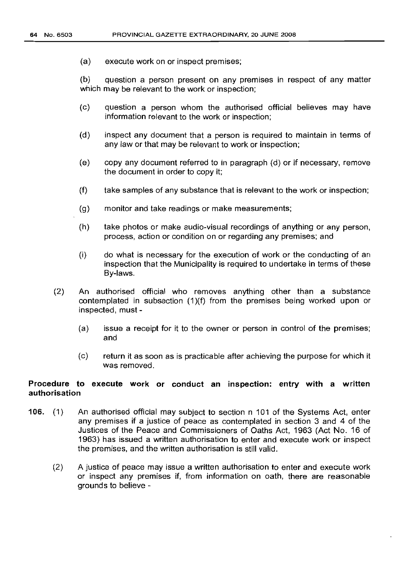(a) execute work on or inspect premises;

(b) question a person present on any premises in respect of any matter which may be relevant to the work or inspection;

- (c) question a person whom the authorised official believes may have information relevant to the work or inspection;
- (d) inspect any document that a person is required to maintain in terms of any law or that may be relevant to work or inspection;
- (e) copy any document referred to in paragraph (d) or if necessary, remove the document in order to copy it;
- (f) take samples of any substance that is relevant to the work or inspection;
- (g) monitor and take readings or make measurements;
- (h) take photos or make audio-visual recordings of anything or any person, process, action or condition on or regarding any premises; and
- (i) do what is necessary for the execution of work or the conducting of an inspection that the Municipality is required to undertake in terms of these By-laws.
- (2) An authorised official who removes anything other than a substance contemplated in subsection (1)(f) from the premises being worked upon or inspected, must-
	- (a) issue a receipt for it to the owner or person in control of the premises; and
	- (c) return it as soon as is practicable after achieving the purpose for which it was removed.

## Procedure to execute work or conduct an inspection: entry with a written authorisation

- 106. (1) An authorised official may subject to section n 101 of the Systems Act, enter any premises if a justice of peace as contemplated in section 3 and 4 of the Justices of the Peace and Commissioners of Oaths Act, 1963 (Act No. 16 of 1963) has issued a written authorisation to enter and execute work or inspect the premises, and the written authorisation is still valid.
	- (2) A justice of peace may issue a written authorisation to enter and execute work or inspect any premises if, from information on oath, there are reasonable grounds to believe -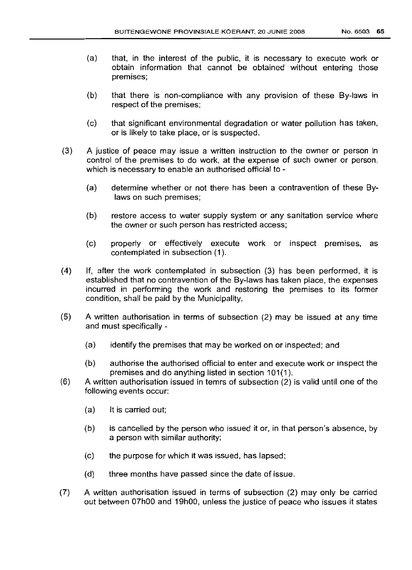- (a) that, in the interest of the public, it is necessary to execute work or obtain information that cannot be obtained without entering those premises;
- (b) that there is non-compliance with any provision of these By-laws in respect of the premises;
- (c) that significant environmental degradation or water pollution has taken, or is likely to take place, or is suspected.
- (3) A justice of peace may issue a written instruction to the owner or person in control of the premises to do work, at the expense of such owner or person, which is necessary to enable an authorised official to -
	- (a) determine whether or not there has been a contravention of these Bylaws on such premises;
	- (b) restore access to water supply system or any sanitation service where the owner or such person has restricted access;
	- (c) properly or effectively execute work or inspect premises, as contemplated in subsection (1).
- (4) If, after the work contemplated in subsection (3) has been performed, it is established that no contravention of the By-laws has taken place, the expenses incurred in performing the work and restoring the premises to its former condition, shall be paid by the Municipality.
- (5) A written authorisation in terms of subsection (2) may be issued at any time and must specifically -
	- (a) identify the premises that may be worked on or inspected; and
	- (b) authorise the authorised official to enter and execute work or inspect the premises and do anything listed in section 101(1).
- (6) A written authorisation issued in temrs of subsection (2) is valid until one of the following events occur:
	- (a) It is carried out;
	- (b) is cancelled by the person who issued it or, in that person's absence, by a person with similar authority;
	- (c) the purpose for which it was issued, has lapsed;
	- (d) three months have passed since the date of issue.
- (7) A written authorisation issued in terms of subsection (2) may only be carried out between 07hOO and 19hOO, unless the justice of peace who issues it states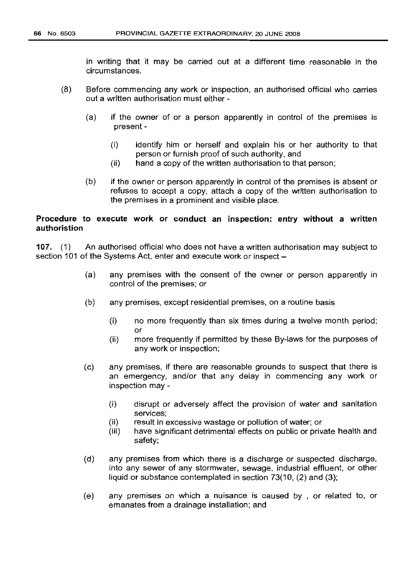in writing that it may be carried out at a different time reasonable in the circumstances.

- (8) Before commencing any work or inspection, an authorised official who carries out a written authorisation must either -
	- (a) if the owner of or a person apparently in control of the premises is present -
		- (i) identify him or herself and explain his or her authority to that person or furnish proof of such authority, and
		- (ii) hand a copy of the written authorisation to that person;
	- (b) if the owner or person apparently in control of the premises is absent or refuses to accept a copy, attach a copy of the written authorisation to the premises in a prominent and visible place.

# Procedure to execute work or conduct an inspection: entry without a written authoristion

107. (1) An authorised official who does not have a written authorisation may subject to section 101 of the Systems Act, enter and execute work or inspect –

- (a) any premises with the consent of the owner or person apparently in control of the premises; or
- (b) any premises, except residential premises, on a routine basis
	- (i) no more frequently than six times during a twelve month period; or
	- (ii) more frequently if permitted by these By-laws for the purposes of any work or inspection;
- (c) any premises, if there are reasonable grounds to suspect that there is an emergency, and/or that any delay in commencing any work or inspection may -
	- (i) disrupt or adversely affect the provision of water and sanitation services;
	- (ii) result in excessive wastage or pollution of water; or
	- (iii) have significant detrimental effects on public or private health and safety;
- (d) any premises from which there is a discharge or suspected discharge, into any sewer of any stormwater, sewage, industrial effluent, or other liquid or substance contemplated in section 73(10, (2) and (3);
- (e) any premises on which a nuisance is caused by , or related to, or emanates from a drainage installation; and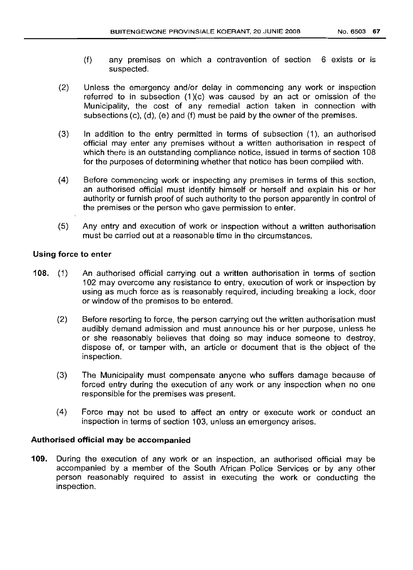- (f) any premises on which a contravention of section 6 exists or is suspected.
- (2) Unless the emergency and/or delay in commencing any work or inspection referred to in subsection (1)(c) was caused by an act or omission of the Municipality, the cost of any remedial action taken in connection with subsections (c), (d), (e) and (f) must be paid by the owner of the premises.
- (3) In addition to the entry permitted in terms of subsection (1), an authorised official may enter any premises without a written authorisation in respect of which there is an outstanding compliance notice, issued in terms of section 108 for the purposes of determining whether that notice has been complied with.
- (4) Before commencing work or inspecting any premises in terms of this section, an authorised official must identify himself or herself and explain his or her authority or furnish proof of such authority to the person apparently in control of the premises or the person who gave permission to enter.
- (5) Any entry and execution of work or inspection without a written authorisation must be carried out at a reasonable time in the circumstances.

# Using force to enter

- 108. (1) An authorised official carrying out a written authorisation in terms of section 102 may overcome any resistance to entry, execution of work or inspection by using as much force as is reasonably required, including breaking a lock, door or window of the premises to be entered.
	- (2) Before resorting to force, the person carrying out the written authorisation must audibly demand admission and must announce his or her purpose, unless he or she reasonably believes that doing so may induce someone to destroy, dispose of, or tamper with, an article or document that is the object of the inspection.
	- (3) The Municipality must compensate anyone who suffers damage because of forced entry during the execution of any work or any inspection when no one responsible for the premises was present.
	- (4) Force may not be used to affect an entry or execute work or conduct an inspection in terms of section 103, unless an emergency arises.

# Authorised official may be accompanied

109. During the execution of any work or an inspection, an authorised official may be accompanied by a member of the South African Police Services or by any other person reasonably required to assist in executing the work or conducting the inspection.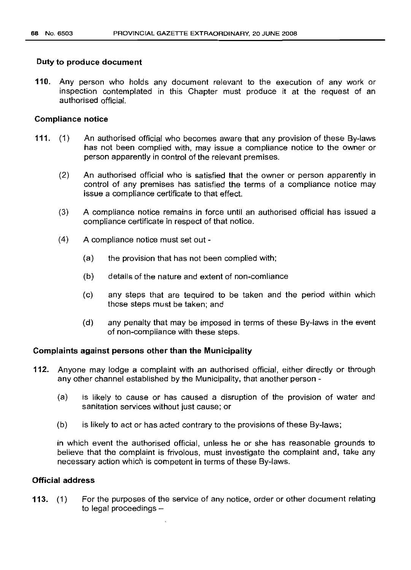### Duty to produce document

110. Any person who holds any document relevant to the execution of any work or inspection contemplated in this Chapter must produce it at the request of an authorised official.

## Compliance notice

- 111. (1) An authorised official who becomes aware that any provision of these By-laws has not been complied with, may issue a compliance notice to the owner or person apparently in control of the relevant premises.
	- (2) An authorised official who is satisfied that the owner or person apparently in control of any premises has satisfied the terms of a compliance notice may issue a compliance certificate to that effect.
	- (3) A compliance notice remains in force until an authorised official has issued a compliance certificate in respect of that notice.
	- (4) A compliance notice must set out
		- (a) the provision that has not been complied with;
		- (b) details of the nature and extent of non-comliance
		- (c) any steps that are tequired to be taken and the period within which those steps must be taken; and
		- (d) any penalty that may be imposed in terms of these By-laws in the event of non-compliance with these steps.

### Complaints against persons other than the Municipality

- 112. Anyone may lodge a complaint with an authorised official, either directly or through any other channel established by the Municipality, that another person -
	- (a) is likely to cause or has caused a disruption of the provision of water and sanitation services without just cause; or
	- (b) is likely to act or has acted contrary to the provisions of these By-laws;

in which event the authorised official, unless he or she has reasonable grounds to believe that the complaint is frivolous, must investigate the complaint and, take any necessary action which is competent in terms of these By-laws.

## Official address

113. (1) For the purposes of the service of any notice, order or other document relating to legal proceedings  $-$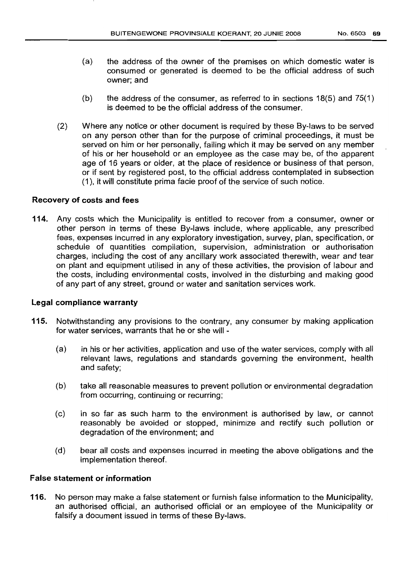- (a) the address of the owner of the premises on which domestic water is consumed or generated is deemed to be the official address of such owner; and
- (b) the address of the consumer, as referred to in sections  $18(5)$  and  $75(1)$ is deemed to be the official address of the consumer.
- (2) Where any notice or other document is required by these By-laws to be served on any person other than for the purpose of criminal proceedings, it must be served on him or her personally, failing which it may be served on any member of his or her household or an employee as the case may be, of the apparent age of 16 years or older, at the place of residence or business of that person, or if sent by registered post, to the official address contemplated in subsection (1), it will constitute prima facie proof of the service of such notice.

# Recovery of costs and fees

114. Any costs which the Municipality is entitled to recover from a consumer, owner or other person in terms of these By-laws include, where applicable, any prescribed fees, expenses incurred in any exploratory investigation, survey, plan, specification, or schedule of quantities compilation, supervision, administration or authorisation charges, including the cost of any ancillary work associated therewith, wear and tear on plant and equipment utilised in any of these activities, the provision of labour and the costs, including environmental costs, involved in the disturbing and making good of any part of any street, ground or water and sanitation services work.

# Legal compliance warranty

- 115. Notwithstanding any provisions to the contrary, any consumer by making application for water services, warrants that he or she will -
	- (a) in his or her activities, application and use of the water services, comply with all relevant laws, regulations and standards governing the environment, health and safety;
	- (b) take all reasonable measures to prevent pollution or environmental degradation from occurring, continuing or recurring;
	- (c) in so far as such harm to the environment is authorised by law, or cannot reasonably be avoided or stopped, minimize and rectify such pollution or degradation of the environment; and
	- (d) bear all costs and expenses incurred in meeting the above obligations and the implementation thereof.

# False statement or information

116. No person may make a false statement or furnish false information to the Municipality, an authorised official, an authorised official or an employee of the Municipality or falsify a document issued in terms of these By-laws.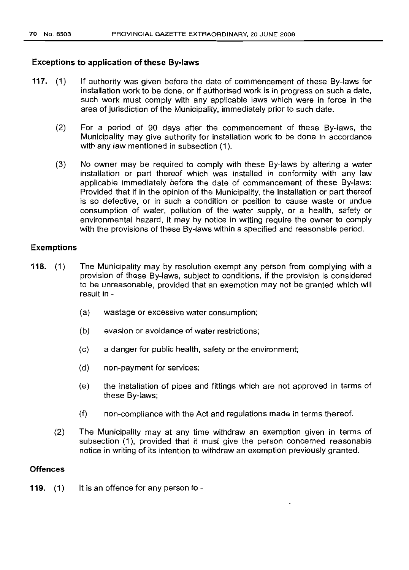## **Exceptions to application of these By-laws**

- **117.** (1) If authority was given before the date of commencement of these By-laws for installation work to be done, or if authorised work is in progress on such a date, such work must comply with any applicable laws which were in force in the area of jurisdiction of the Municipality, immediately prior to such date.
	- (2) For a period of 90 days after the commencement of these By-laws, the Municipality may give authority for installation work to be done in accordance with any law mentioned in subsection (1).
	- (3) No owner may be required to comply with these By-laws by altering a water installation or part thereof which was installed in conformity with any law applicable immediately before the date of commencement of these By-laws: Provided that if in the opinion of the Municipality, the installation or part thereof is so defective, or in such a condition or position to cause waste or undue consumption of water, pollution of the water supply, or a health, safety or environmental hazard, it may by notice in writing require the owner to comply with the provisions of these By-laws within a specified and reasonable period.

## **Exemptions**

- **118.** (1) The Municipality may by resolution exempt any person from complying with a provision of these By-laws, subject to conditions, if the provision is considered to be unreasonable, provided that an exemption may not be granted which will result in -
	- (a) wastage or excessive water consumption;
	- (b) evasion or avoidance of water restrictions;
	- (c) a danger for public health, safety or the environment;
	- (d) non-payment for services;
	- (e) the installation of pipes and fittings which are not approved in terms of these By-laws;
	- (f) non-compliance with the Act and regulations made in terms thereof.
	- (2) The Municipality may at any time withdraw an exemption given in terms of subsection (1), provided that it must give the person concerned reasonable notice in writing of its intention to withdraw an exemption previously granted.

### **Offences**

**119.** (1) It is an offence for any person to -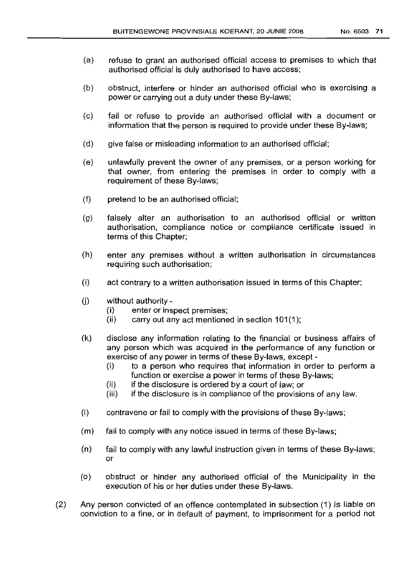- (a) refuse to grant an authorised official access to premises to which that authorised official is duly authorised to have access;
- (b) obstruct, interfere or hinder an authorised official who is exercising a power or carrying out a duty under these By-laws;
- (c) fail or refuse to provide an authorised official with a document or information that the person is required to provide under these By-laws;
- (d) give false or misleading information to an authorised official;
- (e) unlawfully prevent the owner of any premises, or a person working for that owner, from entering the premises in order to comply with a requirement of these By-laws;
- (f) pretend to be an authorised official;
- (g) falsely alter an authorisation to an authorised official or written authorisation, compliance notice or compliance certificate issued in terms of this Chapter;
- (h) enter any premises without a written authorisation in circumstances requiring such authorisation;
- (i) act contrary to a written authorisation issued in terms of this Chapter;
- $(i)$  without authority -
	- (i) enter or inspect premises;
	- $(ii)$  carry out any act mentioned in section 101(1);
- (k) disclose any information relating to the financial or business affairs of any person which was acquired in the performance of any function or exercise of any power in terms of these By-laws, except -
	- (i) to a person who requires that information in order to perform a function or exercise a power in terms of these By-laws;
	- (ii) if the disclosure is ordered by a court of law; or
	- (iii) if the disclosure is in compliance of the provisions of any law.
- (I) contravene or fail to comply with the provisions of these By-laws;
- (m) fail to comply with any notice issued in terms of these By-laws;
- (n) fail to comply with any lawful instruction given in terms of these By-laws; or
- (0) obstruct or hinder any authorised official of the Municipality in the execution of his or her duties under these By-laws.
- (2) Any person convicted of an offence contemplated in subsection (1) is liable on conviction to a fine, or in default of payment, to imprisonment for a period not